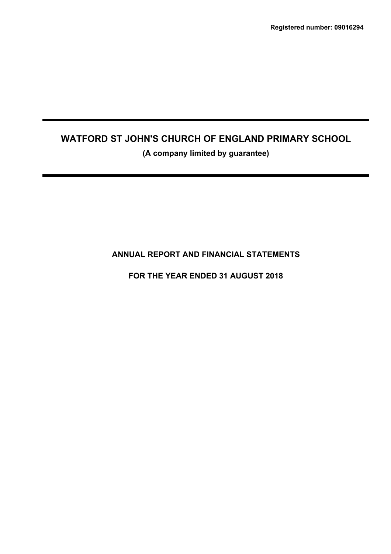**(A company limited by guarantee)**

**ANNUAL REPORT AND FINANCIAL STATEMENTS**

**FOR THE YEAR ENDED 31 AUGUST 2018**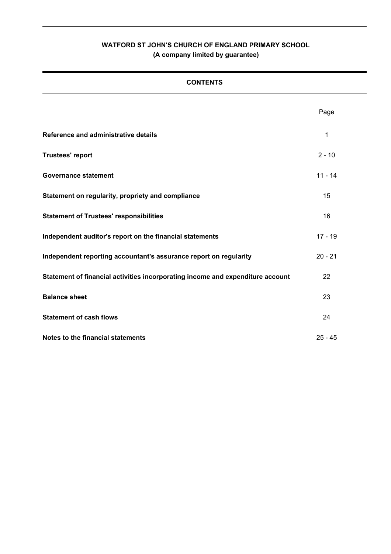# **CONTENTS**

|                                                                                | Page      |
|--------------------------------------------------------------------------------|-----------|
| Reference and administrative details                                           | 1         |
| <b>Trustees' report</b>                                                        | $2 - 10$  |
| <b>Governance statement</b>                                                    | $11 - 14$ |
| Statement on regularity, propriety and compliance                              | 15        |
| <b>Statement of Trustees' responsibilities</b>                                 | 16        |
| Independent auditor's report on the financial statements                       | $17 - 19$ |
| Independent reporting accountant's assurance report on regularity              | $20 - 21$ |
| Statement of financial activities incorporating income and expenditure account | 22        |
| <b>Balance sheet</b>                                                           | 23        |
| <b>Statement of cash flows</b>                                                 | 24        |
| Notes to the financial statements                                              | $25 - 45$ |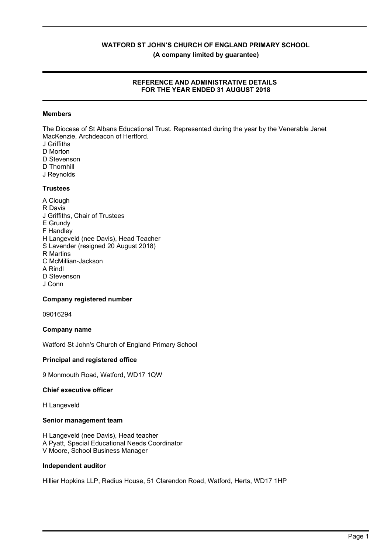**(A company limited by guarantee)**

# **REFERENCE AND ADMINISTRATIVE DETAILS FOR THE YEAR ENDED 31 AUGUST 2018**

# **Members**

The Diocese of St Albans Educational Trust. Represented during the year by the Venerable Janet MacKenzie, Archdeacon of Hertford.

- J Griffiths
- D Morton
- D Stevenson
- D Thornhill
- J Reynolds

# **Trustees**

A Clough R Davis J Griffiths, Chair of Trustees E Grundy F Handley H Langeveld (nee Davis), Head Teacher S Lavender (resigned 20 August 2018) R Martins C McMillian-Jackson A Rindl D Stevenson J Conn

# **Company registered number**

09016294

# **Company name**

Watford St John's Church of England Primary School

# **Principal and registered office**

9 Monmouth Road, Watford, WD17 1QW

# **Chief executive officer**

H Langeveld

# **Senior management team**

H Langeveld (nee Davis), Head teacher A Pyatt, Special Educational Needs Coordinator V Moore, School Business Manager

# **Independent auditor**

Hillier Hopkins LLP, Radius House, 51 Clarendon Road, Watford, Herts, WD17 1HP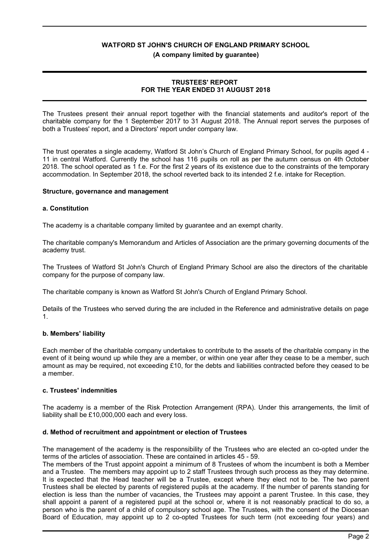#### **(A company limited by guarantee)**

# **TRUSTEES' REPORT FOR THE YEAR ENDED 31 AUGUST 2018**

The Trustees present their annual report together with the financial statements and auditor's report of the charitable company for the 1 September 2017 to 31 August 2018. The Annual report serves the purposes of both a Trustees' report, and a Directors' report under company law.

The trust operates a single academy, Watford St John's Church of England Primary School, for pupils aged 4 - 11 in central Watford. Currently the school has 116 pupils on roll as per the autumn census on 4th October 2018. The school operated as 1 f.e. For the first 2 years of its existence due to the constraints of the temporary accommodation. In September 2018, the school reverted back to its intended 2 f.e. intake for Reception.

# **Structure, governance and management**

# **a. Constitution**

The academy is a charitable company limited by guarantee and an exempt charity.

The charitable company's Memorandum and Articles of Association are the primary governing documents of the academy trust.

The Trustees of Watford St John's Church of England Primary School are also the directors of the charitable company for the purpose of company law.

The charitable company is known as Watford St John's Church of England Primary School.

Details of the Trustees who served during the are included in the Reference and administrative details on page 1.

# **b. Members' liability**

Each member of the charitable company undertakes to contribute to the assets of the charitable company in the event of it being wound up while they are a member, or within one year after they cease to be a member, such amount as may be required, not exceeding £10, for the debts and liabilities contracted before they ceased to be a member.

# **c. Trustees' indemnities**

The academy is a member of the Risk Protection Arrangement (RPA). Under this arrangements, the limit of liability shall be £10,000,000 each and every loss.

# **d. Method of recruitment and appointment or election of Trustees**

The management of the academy is the responsibility of the Trustees who are elected an co-opted under the terms of the articles of association. These are contained in articles 45 - 59.

The members of the Trust appoint appoint a minimum of 8 Trustees of whom the incumbent is both a Member and a Trustee. The members may appoint up to 2 staff Trustees through such process as they may determine. It is expected that the Head teacher will be a Trustee, except where they elect not to be. The two parent Trustees shall be elected by parents of registered pupils at the academy. If the number of parents standing for election is less than the number of vacancies, the Trustees may appoint a parent Trustee. In this case, they shall appoint a parent of a registered pupil at the school or, where it is not reasonably practical to do so, a person who is the parent of a child of compulsory school age. The Trustees, with the consent of the Diocesan Board of Education, may appoint up to 2 co-opted Trustees for such term (not exceeding four years) and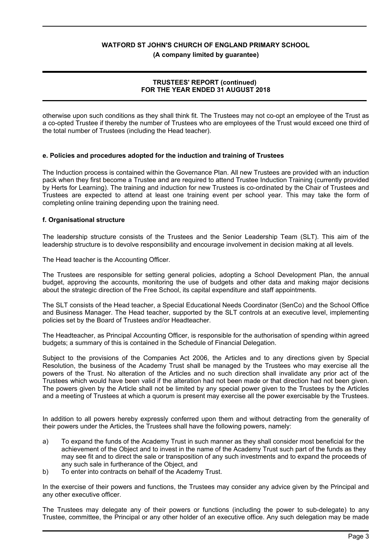**(A company limited by guarantee)**

# **TRUSTEES' REPORT (continued) FOR THE YEAR ENDED 31 AUGUST 2018**

otherwise upon such conditions as they shall think fit. The Trustees may not co-opt an employee of the Trust as a co-opted Trustee if thereby the number of Trustees who are employees of the Trust would exceed one third of the total number of Trustees (including the Head teacher).

# **e. Policies and procedures adopted for the induction and training of Trustees**

The Induction process is contained within the Governance Plan. All new Trustees are provided with an induction pack when they first become a Trustee and are required to attend Trustee Induction Training (currently provided by Herts for Learning). The training and induction for new Trustees is co-ordinated by the Chair of Trustees and Trustees are expected to attend at least one training event per school year. This may take the form of completing online training depending upon the training need.

# **f. Organisational structure**

The leadership structure consists of the Trustees and the Senior Leadership Team (SLT). This aim of the leadership structure is to devolve responsibility and encourage involvement in decision making at all levels.

The Head teacher is the Accounting Officer.

The Trustees are responsible for setting general policies, adopting a School Development Plan, the annual budget, approving the accounts, monitoring the use of budgets and other data and making major decisions about the strategic direction of the Free School, its capital expenditure and staff appointments.

The SLT consists of the Head teacher, a Special Educational Needs Coordinator (SenCo) and the School Office and Business Manager. The Head teacher, supported by the SLT controls at an executive level, implementing policies set by the Board of Trustees and/or Headteacher.

The Headteacher, as Principal Accounting Officer, is responsible for the authorisation of spending within agreed budgets; a summary of this is contained in the Schedule of Financial Delegation.

Subject to the provisions of the Companies Act 2006, the Articles and to any directions given by Special Resolution, the business of the Academy Trust shall be managed by the Trustees who may exercise all the powers of the Trust. No alteration of the Articles and no such direction shall invalidate any prior act of the Trustees which would have been valid if the alteration had not been made or that direction had not been given. The powers given by the Article shall not be limited by any special power given to the Trustees by the Articles and a meeting of Trustees at which a quorum is present may exercise all the power exercisable by the Trustees.

In addition to all powers hereby expressly conferred upon them and without detracting from the generality of their powers under the Articles, the Trustees shall have the following powers, namely:

- a) To expand the funds of the Academy Trust in such manner as they shall consider most beneficial for the achievement of the Object and to invest in the name of the Academy Trust such part of the funds as they may see fit and to direct the sale or transposition of any such investments and to expand the proceeds of any such sale in furtherance of the Object, and
- b) To enter into contracts on behalf of the Academy Trust.

In the exercise of their powers and functions, the Trustees may consider any advice given by the Principal and any other executive officer.

The Trustees may delegate any of their powers or functions (including the power to sub-delegate) to any Trustee, committee, the Principal or any other holder of an executive office. Any such delegation may be made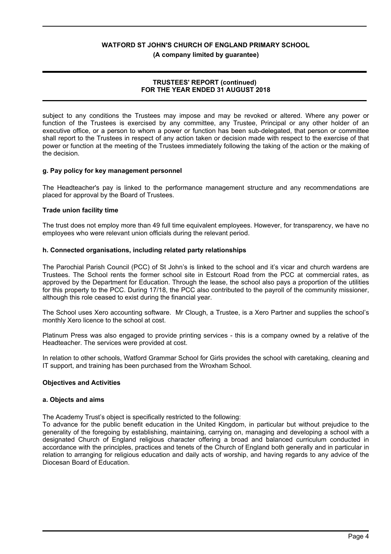**(A company limited by guarantee)**

# **TRUSTEES' REPORT (continued) FOR THE YEAR ENDED 31 AUGUST 2018**

subject to any conditions the Trustees may impose and may be revoked or altered. Where any power or function of the Trustees is exercised by any committee, any Trustee, Principal or any other holder of an executive office, or a person to whom a power or function has been sub-delegated, that person or committee shall report to the Trustees in respect of any action taken or decision made with respect to the exercise of that power or function at the meeting of the Trustees immediately following the taking of the action or the making of the decision.

# **g. Pay policy for key management personnel**

The Headteacher's pay is linked to the performance management structure and any recommendations are placed for approval by the Board of Trustees.

# **Trade union facility time**

The trust does not employ more than 49 full time equivalent employees. However, for transparency, we have no employees who were relevant union officials during the relevant period.

# **h. Connected organisations, including related party relationships**

The Parochial Parish Council (PCC) of St John's is linked to the school and it's vicar and church wardens are Trustees. The School rents the former school site in Estcourt Road from the PCC at commercial rates, as approved by the Department for Education. Through the lease, the school also pays a proportion of the utilities for this property to the PCC. During 17/18, the PCC also contributed to the payroll of the community missioner, although this role ceased to exist during the financial year.

The School uses Xero accounting software. Mr Clough, a Trustee, is a Xero Partner and supplies the school's monthly Xero licence to the school at cost.

Platinum Press was also engaged to provide printing services - this is a company owned by a relative of the Headteacher. The services were provided at cost.

In relation to other schools, Watford Grammar School for Girls provides the school with caretaking, cleaning and IT support, and training has been purchased from the Wroxham School.

# **Objectives and Activities**

# **a. Objects and aims**

The Academy Trust's object is specifically restricted to the following:

To advance for the public benefit education in the United Kingdom, in particular but without prejudice to the generality of the foregoing by establishing, maintaining, carrying on, managing and developing a school with a designated Church of England religious character offering a broad and balanced curriculum conducted in accordance with the principles, practices and tenets of the Church of England both generally and in particular in relation to arranging for religious education and daily acts of worship, and having regards to any advice of the Diocesan Board of Education.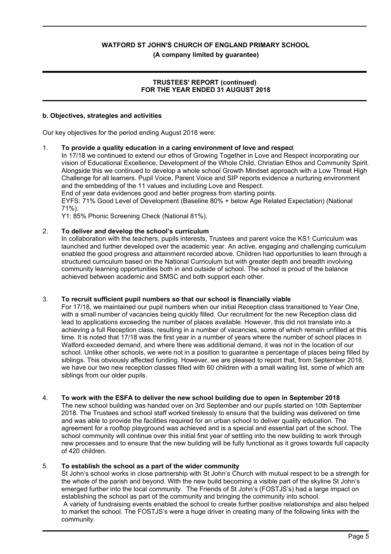# **(A company limited by guarantee)**

# **TRUSTEES' REPORT (continued) FOR THE YEAR ENDED 31 AUGUST 2018**

#### **b. Objectives, strategies and activities**

Our key objectives for the period ending August 2018 were:

#### 1. **To provide a quality education in a caring environment of love and respec**t

In 17/18 we continued to extend our ethos of Growing Together in Love and Respect incorporating our vision of Educational Excellence, Development of the Whole Child, Christian Ethos and Community Spirit. Alongside this we continued to develop a whole school Growth Mindset approach with a Low Threat High Challenge for all learners. Pupil Voice, Parent Voice and SIP reports evidence a nurturing environment and the embedding of the 11 values and including Love and Respect.

End of year data evidences good and better progress from starting points.

EYFS: 71% Good Level of Development (Baseline 80% + below Age Related Expectation) (National 71%).

Y1: 85% Phonic Screening Check (National 81%).

#### 2. **To deliver and develop the school's curriculum**

In collaboration with the teachers, pupils interests, Trustees and parent voice the KS1 Curriculum was launched and further developed over the academic year. An active, engaging and challenging curriculum enabled the good progress and attainment recorded above. Children had opportunities to learn through a structured curriculum based on the National Curriculum but with greater depth and breadth involving community learning opportunities both in and outside of school. The school is proud of the balance achieved between academic and SMSC and both support each other.

# 3. **To recruit sufficient pupil numbers so that our school is financially viable**

For 17/18, we maintained our pupil numbers when our initial Reception class transitioned to Year One, with a small number of vacancies being quickly filled. Our recruitment for the new Reception class did lead to applications exceeding the number of places available. However, this did not translate into a achieving a full Reception class, resulting in a number of vacancies, some of which remain unfilled at this time. It is noted that 17/18 was the first year in a number of years where the number of school places in Watford exceeded demand, and where there was additional demand, it was not in the location of our school. Unlike other schools, we were not in a position to guarantee a percentage of places being filled by siblings. This obviously affected funding. However, we are pleased to report that, from September 2018, we have our two new reception classes filled with 60 children with a small waiting list, some of which are siblings from our older pupils.

# 4. **To work with the ESFA to deliver the new school building due to open in September 2018**

The new school building was handed over on 3rd September and our pupils started on 10th September 2018. The Trustees and school staff worked tirelessly to ensure that the building was delivered on time and was able to provide the facilities required for an urban school to deliver quality education. The agreement for a rooftop playground was achieved and is a special and essential part of the school. The school community will continue over this initial first year of settling into the new building to work through new processes and to ensure that the new building will be fully functional as it grows towards full capacity of 420 children.

# 5. **To establish the school as a part of the wider community**

St John's school works in close partnership with St John's Church with mutual respect to be a strength for the whole of the parish and beyond. With the new build becoming a visible part of the skyline St John's emerged further into the local community. The Friends of St John's (FOSTJS's) had a large impact on establishing the school as part of the community and bringing the community into school. A variety of fundraising events enabled the school to create further positive relationships and also helped to market the school. The FOSTJS's were a huge driver in creating many of the following links with the community.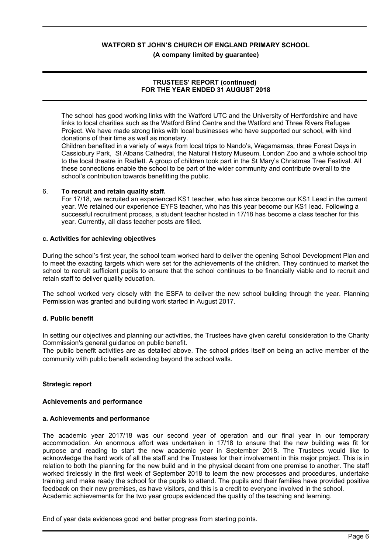#### **(A company limited by guarantee)**

# **TRUSTEES' REPORT (continued) FOR THE YEAR ENDED 31 AUGUST 2018**

The school has good working links with the Watford UTC and the University of Hertfordshire and have links to local charities such as the Watford Blind Centre and the Watford and Three Rivers Refugee Project. We have made strong links with local businesses who have supported our school, with kind donations of their time as well as monetary.

Children benefited in a variety of ways from local trips to Nando's, Wagamamas, three Forest Days in Cassiobury Park, St Albans Cathedral, the Natural History Museum, London Zoo and a whole school trip to the local theatre in Radlett. A group of children took part in the St Mary's Christmas Tree Festival. All these connections enable the school to be part of the wider community and contribute overall to the school's contribution towards benefitting the public.

#### 6. **To recruit and retain quality staff.**

For 17/18, we recruited an experienced KS1 teacher, who has since become our KS1 Lead in the current year. We retained our experience EYFS teacher, who has this year become our KS1 lead. Following a successful recruitment process, a student teacher hosted in 17/18 has become a class teacher for this year. Currently, all class teacher posts are filled.

#### **c. Activities for achieving objectives**

During the school's first year, the school team worked hard to deliver the opening School Development Plan and to meet the exacting targets which were set for the achievements of the children. They continued to market the school to recruit sufficient pupils to ensure that the school continues to be financially viable and to recruit and retain staff to deliver quality education.

The school worked very closely with the ESFA to deliver the new school building through the year. Planning Permission was granted and building work started in August 2017.

# **d. Public benefit**

In setting our objectives and planning our activities, the Trustees have given careful consideration to the Charity Commission's general guidance on public benefit.

The public benefit activities are as detailed above. The school prides itself on being an active member of the community with public benefit extending beyond the school walls.

# **Strategic report**

#### **Achievements and performance**

#### **a. Achievements and performance**

The academic year 2017/18 was our second year of operation and our final year in our temporary accommodation. An enormous effort was undertaken in 17/18 to ensure that the new building was fit for purpose and reading to start the new academic year in September 2018. The Trustees would like to acknowledge the hard work of all the staff and the Trustees for their involvement in this major project. This is in relation to both the planning for the new build and in the physical decant from one premise to another. The staff worked tirelessly in the first week of September 2018 to learn the new processes and procedures, undertake training and make ready the school for the pupils to attend. The pupils and their families have provided positive feedback on their new premises, as have visitors, and this is a credit to everyone involved in the school. Academic achievements for the two year groups evidenced the quality of the teaching and learning.

End of year data evidences good and better progress from starting points.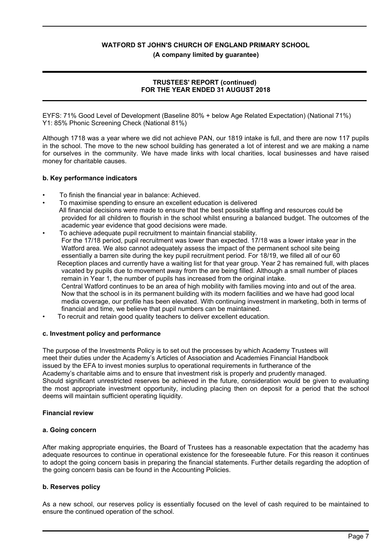**(A company limited by guarantee)**

# **TRUSTEES' REPORT (continued) FOR THE YEAR ENDED 31 AUGUST 2018**

EYFS: 71% Good Level of Development (Baseline 80% + below Age Related Expectation) (National 71%) Y1: 85% Phonic Screening Check (National 81%)

Although 1718 was a year where we did not achieve PAN, our 1819 intake is full, and there are now 117 pupils in the school. The move to the new school building has generated a lot of interest and we are making a name for ourselves in the community. We have made links with local charities, local businesses and have raised money for charitable causes.

# **b. Key performance indicators**

- To finish the financial year in balance: Achieved.
- To maximise spending to ensure an excellent education is delivered All financial decisions were made to ensure that the best possible staffing and resources could be provided for all children to flourish in the school whilst ensuring a balanced budget. The outcomes of the academic year evidence that good decisions were made.
- To achieve adequate pupil recruitment to maintain financial stability. For the 17/18 period, pupil recruitment was lower than expected. 17/18 was a lower intake year in the Watford area. We also cannot adequately assess the impact of the permanent school site being essentially a barren site during the key pupil recruitment period. For 18/19, we filled all of our 60
	- Reception places and currently have a waiting list for that year group. Year 2 has remained full, with places vacated by pupils due to movement away from the are being filled. Although a small number of places remain in Year 1, the number of pupils has increased from the original intake. Central Watford continues to be an area of high mobility with families moving into and out of the area. Now that the school is in its permanent building with its modern facilities and we have had good local media coverage, our profile has been elevated. With continuing investment in marketing, both in terms of financial and time, we believe that pupil numbers can be maintained.
- To recruit and retain good quality teachers to deliver excellent education.

# **c. Investment policy and performance**

The purpose of the Investments Policy is to set out the processes by which Academy Trustees will meet their duties under the Academy's Articles of Association and Academies Financial Handbook issued by the EFA to invest monies surplus to operational requirements in furtherance of the Academy's charitable aims and to ensure that investment risk is properly and prudently managed. Should significant unrestricted reserves be achieved in the future, consideration would be given to evaluating the most appropriate investment opportunity, including placing then on deposit for a period that the school deems will maintain sufficient operating liquidity.

# **Financial review**

# **a. Going concern**

After making appropriate enquiries, the Board of Trustees has a reasonable expectation that the academy has adequate resources to continue in operational existence for the foreseeable future. For this reason it continues to adopt the going concern basis in preparing the financial statements. Further details regarding the adoption of the going concern basis can be found in the Accounting Policies.

# **b. Reserves policy**

As a new school, our reserves policy is essentially focused on the level of cash required to be maintained to ensure the continued operation of the school.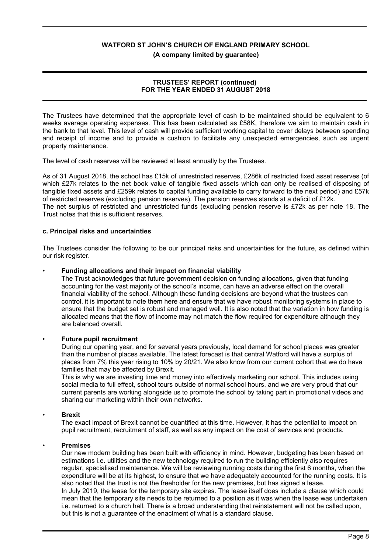**(A company limited by guarantee)**

# **TRUSTEES' REPORT (continued) FOR THE YEAR ENDED 31 AUGUST 2018**

The Trustees have determined that the appropriate level of cash to be maintained should be equivalent to 6 weeks average operating expenses. This has been calculated as £58K, therefore we aim to maintain cash in the bank to that level. This level of cash will provide sufficient working capital to cover delays between spending and receipt of income and to provide a cushion to facilitate any unexpected emergencies, such as urgent property maintenance.

The level of cash reserves will be reviewed at least annually by the Trustees.

As of 31 August 2018, the school has £15k of unrestricted reserves, £286k of restricted fixed asset reserves (of which £27k relates to the net book value of tangible fixed assets which can only be realised of disposing of tangible fixed assets and £259k relates to capital funding available to carry forward to the next period) and £57k of restricted reserves (excluding pension reserves). The pension reserves stands at a deficit of £12k. The net surplus of restricted and unrestricted funds (excluding pension reserve is £72k as per note 18. The Trust notes that this is sufficient reserves.

# **c. Principal risks and uncertainties**

The Trustees consider the following to be our principal risks and uncertainties for the future, as defined within our risk register.

#### • **Funding allocations and their impact on financial viability**

The Trust acknowledges that future government decision on funding allocations, given that funding accounting for the vast majority of the school's income, can have an adverse effect on the overall financial viability of the school. Although these funding decisions are beyond what the trustees can control, it is important to note them here and ensure that we have robust monitoring systems in place to ensure that the budget set is robust and managed well. It is also noted that the variation in how funding is allocated means that the flow of income may not match the flow required for expenditure although they are balanced overall.

# • **Future pupil recruitment**

During our opening year, and for several years previously, local demand for school places was greater than the number of places available. The latest forecast is that central Watford will have a surplus of places from 7% this year rising to 10% by 20/21. We also know from our current cohort that we do have families that may be affected by Brexit.

This is why we are investing time and money into effectively marketing our school. This includes using social media to full effect, school tours outside of normal school hours, and we are very proud that our current parents are working alongside us to promote the school by taking part in promotional videos and sharing our marketing within their own networks.

# • **Brexit**

The exact impact of Brexit cannot be quantified at this time. However, it has the potential to impact on pupil recruitment, recruitment of staff, as well as any impact on the cost of services and products.

#### • **Premises**

Our new modern building has been built with efficiency in mind. However, budgeting has been based on estimations i.e. utilities and the new technology required to run the building efficiently also requires regular, specialised maintenance. We will be reviewing running costs during the first 6 months, when the expenditure will be at its highest, to ensure that we have adequately accounted for the running costs. It is also noted that the trust is not the freeholder for the new premises, but has signed a lease. In July 2019, the lease for the temporary site expires. The lease itself does include a clause which could mean that the temporary site needs to be returned to a position as it was when the lease was undertaken i.e. returned to a church hall. There is a broad understanding that reinstatement will not be called upon, but this is not a guarantee of the enactment of what is a standard clause.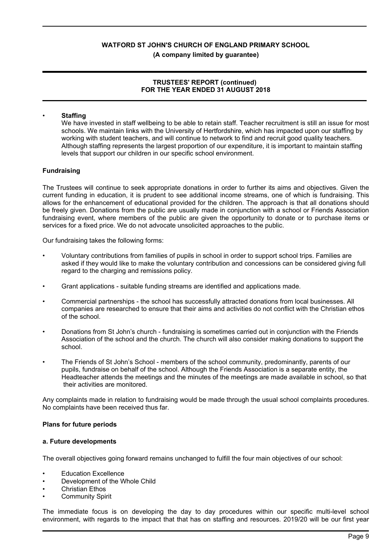# **(A company limited by guarantee)**

# **TRUSTEES' REPORT (continued) FOR THE YEAR ENDED 31 AUGUST 2018**

# • **Staffing**

We have invested in staff wellbeing to be able to retain staff. Teacher recruitment is still an issue for most schools. We maintain links with the University of Hertfordshire, which has impacted upon our staffing by working with student teachers, and will continue to network to find and recruit good quality teachers. Although staffing represents the largest proportion of our expenditure, it is important to maintain staffing levels that support our children in our specific school environment.

# **Fundraising**

The Trustees will continue to seek appropriate donations in order to further its aims and objectives. Given the current funding in education, it is prudent to see additional income streams, one of which is fundraising. This allows for the enhancement of educational provided for the children. The approach is that all donations should be freely given. Donations from the public are usually made in conjunction with a school or Friends Association fundraising event, where members of the public are given the opportunity to donate or to purchase items or services for a fixed price. We do not advocate unsolicited approaches to the public.

Our fundraising takes the following forms:

- Voluntary contributions from families of pupils in school in order to support school trips. Families are asked if they would like to make the voluntary contribution and concessions can be considered giving full regard to the charging and remissions policy.
- Grant applications suitable funding streams are identified and applications made.
- Commercial partnerships the school has successfully attracted donations from local businesses. All companies are researched to ensure that their aims and activities do not conflict with the Christian ethos of the school.
- Donations from St John's church fundraising is sometimes carried out in conjunction with the Friends Association of the school and the church. The church will also consider making donations to support the school.
- The Friends of St John's School members of the school community, predominantly, parents of our pupils, fundraise on behalf of the school. Although the Friends Association is a separate entity, the Headteacher attends the meetings and the minutes of the meetings are made available in school, so that their activities are monitored.

Any complaints made in relation to fundraising would be made through the usual school complaints procedures. No complaints have been received thus far.

# **Plans for future periods**

# **a. Future developments**

The overall objectives going forward remains unchanged to fulfill the four main objectives of our school:

- Education Excellence
- Development of the Whole Child
- Christian Ethos
- Community Spirit

The immediate focus is on developing the day to day procedures within our specific multi-level school environment, with regards to the impact that that has on staffing and resources. 2019/20 will be our first year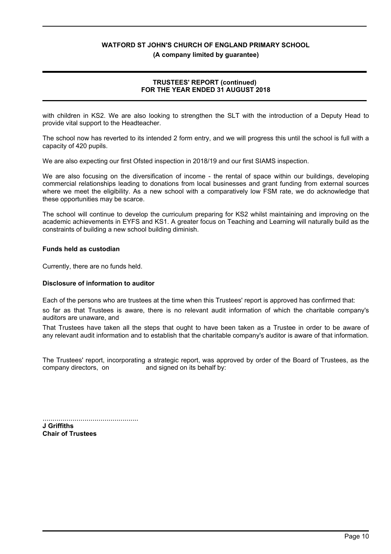**(A company limited by guarantee)**

# **TRUSTEES' REPORT (continued) FOR THE YEAR ENDED 31 AUGUST 2018**

with children in KS2. We are also looking to strengthen the SLT with the introduction of a Deputy Head to provide vital support to the Headteacher.

The school now has reverted to its intended 2 form entry, and we will progress this until the school is full with a capacity of 420 pupils.

We are also expecting our first Ofsted inspection in 2018/19 and our first SIAMS inspection.

We are also focusing on the diversification of income - the rental of space within our buildings, developing commercial relationships leading to donations from local businesses and grant funding from external sources where we meet the eligibility. As a new school with a comparatively low FSM rate, we do acknowledge that these opportunities may be scarce.

The school will continue to develop the curriculum preparing for KS2 whilst maintaining and improving on the academic achievements in EYFS and KS1. A greater focus on Teaching and Learning will naturally build as the constraints of building a new school building diminish.

# **Funds held as custodian**

Currently, there are no funds held.

# **Disclosure of information to auditor**

Each of the persons who are trustees at the time when this Trustees' report is approved has confirmed that:

so far as that Trustees is aware, there is no relevant audit information of which the charitable company's auditors are unaware, and

That Trustees have taken all the steps that ought to have been taken as a Trustee in order to be aware of any relevant audit information and to establish that the charitable company's auditor is aware of that information.

The Trustees' report, incorporating a strategic report, was approved by order of the Board of Trustees, as the company directors, on and signed on its behalf by:

................................................ **J Griffiths Chair of Trustees**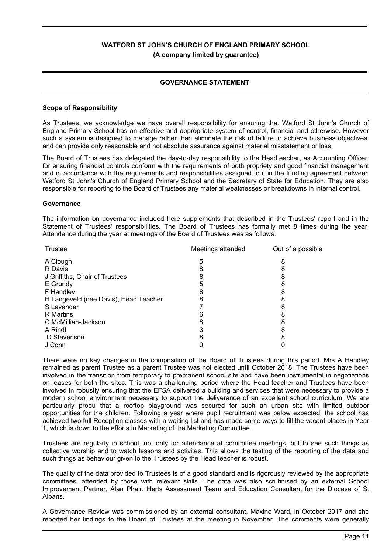# **GOVERNANCE STATEMENT**

#### **Scope of Responsibility**

As Trustees, we acknowledge we have overall responsibility for ensuring that Watford St John's Church of England Primary School has an effective and appropriate system of control, financial and otherwise. However such a system is designed to manage rather than eliminate the risk of failure to achieve business objectives, and can provide only reasonable and not absolute assurance against material misstatement or loss.

The Board of Trustees has delegated the day-to-day responsibility to the Headteacher, as Accounting Officer, for ensuring financial controls conform with the requirements of both propriety and good financial management and in accordance with the requirements and responsibilities assigned to it in the funding agreement between Watford St John's Church of England Primary School and the Secretary of State for Education. They are also responsible for reporting to the Board of Trustees any material weaknesses or breakdowns in internal control.

#### **Governance**

The information on governance included here supplements that described in the Trustees' report and in the Statement of Trustees' responsibilities. The Board of Trustees has formally met 8 times during the year. Attendance during the year at meetings of the Board of Trustees was as follows:

| Trustee                               | Meetings attended | Out of a possible |
|---------------------------------------|-------------------|-------------------|
| A Clough                              | 5                 |                   |
| R Davis                               |                   |                   |
| J Griffiths, Chair of Trustees        |                   |                   |
| E Grundy                              |                   |                   |
| F Handley                             |                   |                   |
| H Langeveld (nee Davis), Head Teacher |                   |                   |
| S Lavender                            |                   |                   |
| R Martins                             |                   |                   |
| C McMillian-Jackson                   | 8                 |                   |
| A Rindl                               |                   |                   |
| .D Stevenson                          |                   |                   |
| J Conn                                |                   |                   |

There were no key changes in the composition of the Board of Trustees during this period. Mrs A Handley remained as parent Trustee as a parent Trustee was not elected until October 2018. The Trustees have been involved in the transition from temporary to premanent school site and have been instrumental in negotiations on leases for both the sites. This was a challenging period where the Head teacher and Trustees have been involved in robustly ensuring that the EFSA delivered a building and services that were necessary to provide a modern school environment necessary to support the deliverance of an excellent school curriculum. We are particularly produ that a rooftop playground was secured for such an urban site with limited outdoor opportunities for the children. Following a year where pupil recruitment was below expected, the school has achieved two full Reception classes with a waiting list and has made some ways to fill the vacant places in Year 1, which is down to the efforts in Marketing of the Marketing Committee.

Trustees are regularly in school, not only for attendance at committee meetings, but to see such things as collective worship and to watch lessons and activites. This allows the testing of the reporting of the data and such things as behaviour given to the Trustees by the Head teacher is robust.

The quality of the data provided to Trustees is of a good standard and is rigorously reviewed by the appropriate committees, attended by those with relevant skills. The data was also scrutinised by an external School Improvement Partner, Alan Phair, Herts Assessment Team and Education Consultant for the Diocese of St Albans.

A Governance Review was commissioned by an external consultant, Maxine Ward, in October 2017 and she reported her findings to the Board of Trustees at the meeting in November. The comments were generally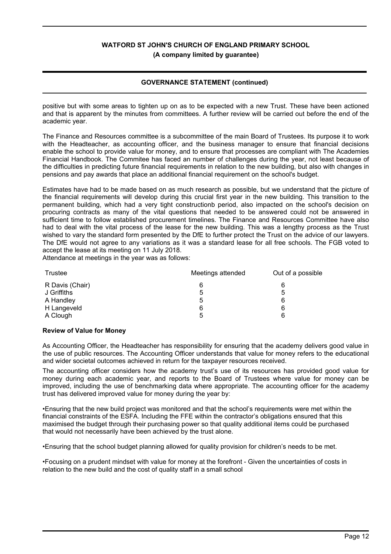# **GOVERNANCE STATEMENT (continued)**

positive but with some areas to tighten up on as to be expected with a new Trust. These have been actioned and that is apparent by the minutes from committees. A further review will be carried out before the end of the academic year.

The Finance and Resources committee is a subcommittee of the main Board of Trustees. Its purpose it to work with the Headteacher, as accounting officer, and the business manager to ensure that financial decisions enable the school to provide value for money, and to ensure that processes are compliant with The Academies Financial Handbook. The Commitee has faced an number of challenges during the year, not least because of the difficulties in predicting future financial requirements in relation to the new building, but also with changes in pensions and pay awards that place an additional financial requirement on the school's budget.

Estimates have had to be made based on as much research as possible, but we understand that the picture of the financial requirements will develop during this crucial first year in the new building. This transition to the permanent building, which had a very tight constructionb period, also impacted on the school's decision on procuring contracts as many of the vital questions that needed to be answered could not be answered in sufficient time to follow established procurement timelines. The Finance and Resources Committee have also had to deal with the vital process of the lease for the new building. This was a lengthy process as the Trust wished to vary the standard form presented by the DfE to further protect the Trust on the advice of our lawyers. The DfE would not agree to any variations as it was a standard lease for all free schools. The FGB voted to accept the lease at its meeting on 11 July 2018.

Attendance at meetings in the year was as follows:

| Trustee         | Meetings attended | Out of a possible |  |
|-----------------|-------------------|-------------------|--|
| R Davis (Chair) | 6                 | 6                 |  |
| J Griffiths     | 5                 | 5                 |  |
| A Handley       | 5                 | 6                 |  |
| H Langeveld     | 6                 | 6                 |  |
| A Clough        | 5                 | 6                 |  |

# **Review of Value for Money**

As Accounting Officer, the Headteacher has responsibility for ensuring that the academy delivers good value in the use of public resources. The Accounting Officer understands that value for money refers to the educational and wider societal outcomes achieved in return for the taxpayer resources received.

The accounting officer considers how the academy trust's use of its resources has provided good value for money during each academic year, and reports to the Board of Trustees where value for money can be improved, including the use of benchmarking data where appropriate. The accounting officer for the academy trust has delivered improved value for money during the year by:

•Ensuring that the new build project was monitored and that the school's requirements were met within the financial constraints of the ESFA. Including the FFE within the contractor's obligations ensured that this maximised the budget through their purchasing power so that quality additional items could be purchased that would not necessarily have been achieved by the trust alone.

•Ensuring that the school budget planning allowed for quality provision for children's needs to be met.

•Focusing on a prudent mindset with value for money at the forefront - Given the uncertainties of costs in relation to the new build and the cost of quality staff in a small school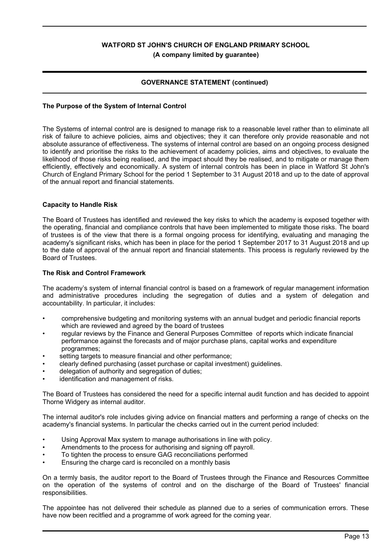# **GOVERNANCE STATEMENT (continued)**

# **The Purpose of the System of Internal Control**

The Systems of internal control are is designed to manage risk to a reasonable level rather than to eliminate all risk of failure to achieve policies, aims and objectives; they it can therefore only provide reasonable and not absolute assurance of effectiveness. The systems of internal control are based on an ongoing process designed to identify and prioritise the risks to the achievement of academy policies, aims and objectives, to evaluate the likelihood of those risks being realised, and the impact should they be realised, and to mitigate or manage them efficiently, effectively and economically. A system of internal controls has been in place in Watford St John's Church of England Primary School for the period 1 September to 31 August 2018 and up to the date of approval of the annual report and financial statements.

#### **Capacity to Handle Risk**

The Board of Trustees has identified and reviewed the key risks to which the academy is exposed together with the operating, financial and compliance controls that have been implemented to mitigate those risks. The board of trustees is of the view that there is a formal ongoing process for identifying, evaluating and managing the academy's significant risks, which has been in place for the period 1 September 2017 to 31 August 2018 and up to the date of approval of the annual report and financial statements. This process is regularly reviewed by the Board of Trustees.

#### **The Risk and Control Framework**

The academy's system of internal financial control is based on a framework of regular management information and administrative procedures including the segregation of duties and a system of delegation and accountability. In particular, it includes:

- comprehensive budgeting and monitoring systems with an annual budget and periodic financial reports which are reviewed and agreed by the board of trustees
- regular reviews by the Finance and General Purposes Committee of reports which indicate financial performance against the forecasts and of major purchase plans, capital works and expenditure programmes;
- setting targets to measure financial and other performance;
- clearly defined purchasing (asset purchase or capital investment) guidelines.
- delegation of authority and segregation of duties;
- identification and management of risks.

The Board of Trustees has considered the need for a specific internal audit function and has decided to appoint Thorne Widgery as internal auditor.

The internal auditor's role includes giving advice on financial matters and performing a range of checks on the academy's financial systems. In particular the checks carried out in the current period included:

- Using Approval Max system to manage authorisations in line with policy.
- Amendments to the process for authorising and signing off payroll.
- To tighten the process to ensure GAG reconciliations performed
- Ensuring the charge card is reconciled on a monthly basis

On a termly basis, the auditor report to the Board of Trustees through the Finance and Resources Committee on the operation of the systems of control and on the discharge of the Board of Trustees' financial responsibilities.

The appointee has not delivered their schedule as planned due to a series of communication errors. These have now been recitfied and a programme of work agreed for the coming year.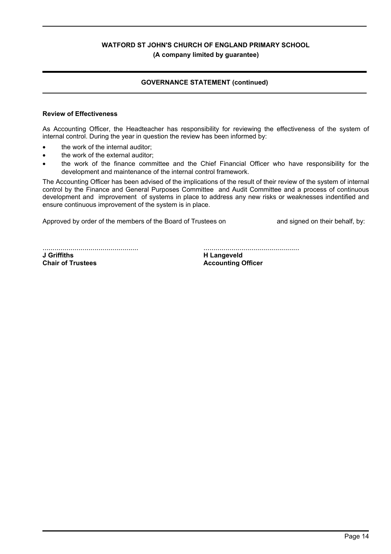# **GOVERNANCE STATEMENT (continued)**

#### **Review of Effectiveness**

As Accounting Officer, the Headteacher has responsibility for reviewing the effectiveness of the system of internal control. During the year in question the review has been informed by:

- the work of the internal auditor;
- the work of the external auditor:
- the work of the finance committee and the Chief Financial Officer who have responsibility for the development and maintenance of the internal control framework.

The Accounting Officer has been advised of the implications of the result of their review of the system of internal control by the Finance and General Purposes Committee and Audit Committee and a process of continuous development and improvement of systems in place to address any new risks or weaknesses indentified and ensure continuous improvement of the system is in place.

Approved by order of the members of the Board of Trustees on and signed on their behalf, by:

................................................ **J Griffiths Chair of Trustees**

................................................

**H Langeveld Accounting Officer**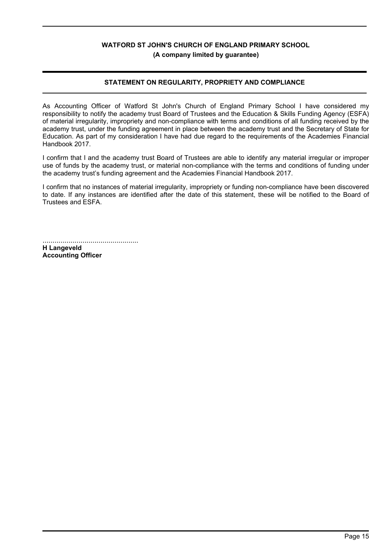# **STATEMENT ON REGULARITY, PROPRIETY AND COMPLIANCE**

As Accounting Officer of Watford St John's Church of England Primary School I have considered my responsibility to notify the academy trust Board of Trustees and the Education & Skills Funding Agency (ESFA) of material irregularity, impropriety and non-compliance with terms and conditions of all funding received by the academy trust, under the funding agreement in place between the academy trust and the Secretary of State for Education. As part of my consideration I have had due regard to the requirements of the Academies Financial Handbook 2017.

I confirm that I and the academy trust Board of Trustees are able to identify any material irregular or improper use of funds by the academy trust, or material non-compliance with the terms and conditions of funding under the academy trust's funding agreement and the Academies Financial Handbook 2017.

I confirm that no instances of material irregularity, impropriety or funding non-compliance have been discovered to date. If any instances are identified after the date of this statement, these will be notified to the Board of Trustees and ESFA.

................................................ **H Langeveld Accounting Officer**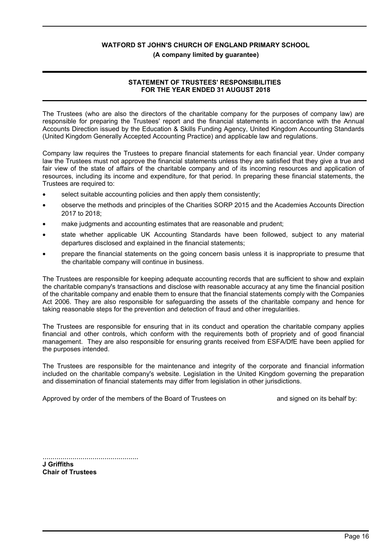#### **(A company limited by guarantee)**

# **STATEMENT OF TRUSTEES' RESPONSIBILITIES FOR THE YEAR ENDED 31 AUGUST 2018**

The Trustees (who are also the directors of the charitable company for the purposes of company law) are responsible for preparing the Trustees' report and the financial statements in accordance with the Annual Accounts Direction issued by the Education & Skills Funding Agency, United Kingdom Accounting Standards (United Kingdom Generally Accepted Accounting Practice) and applicable law and regulations.

Company law requires the Trustees to prepare financial statements for each financial year. Under company law the Trustees must not approve the financial statements unless they are satisfied that they give a true and fair view of the state of affairs of the charitable company and of its incoming resources and application of resources, including its income and expenditure, for that period. In preparing these financial statements, the Trustees are required to:

- select suitable accounting policies and then apply them consistently;
- observe the methods and principles of the Charities SORP 2015 and the Academies Accounts Direction 2017 to 2018;
- make judgments and accounting estimates that are reasonable and prudent;
- state whether applicable UK Accounting Standards have been followed, subject to any material departures disclosed and explained in the financial statements;
- prepare the financial statements on the going concern basis unless it is inappropriate to presume that the charitable company will continue in business.

The Trustees are responsible for keeping adequate accounting records that are sufficient to show and explain the charitable company's transactions and disclose with reasonable accuracy at any time the financial position of the charitable company and enable them to ensure that the financial statements comply with the Companies Act 2006. They are also responsible for safeguarding the assets of the charitable company and hence for taking reasonable steps for the prevention and detection of fraud and other irregularities.

The Trustees are responsible for ensuring that in its conduct and operation the charitable company applies financial and other controls, which conform with the requirements both of propriety and of good financial management. They are also responsible for ensuring grants received from ESFA/DfE have been applied for the purposes intended.

The Trustees are responsible for the maintenance and integrity of the corporate and financial information included on the charitable company's website. Legislation in the United Kingdom governing the preparation and dissemination of financial statements may differ from legislation in other jurisdictions.

Approved by order of the members of the Board of Trustees on and signed on its behalf by:

................................................ **J Griffiths Chair of Trustees**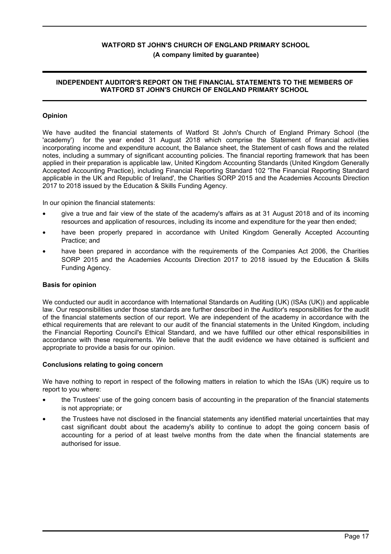# **INDEPENDENT AUDITOR'S REPORT ON THE FINANCIAL STATEMENTS TO THE MEMBERS OF WATFORD ST JOHN'S CHURCH OF ENGLAND PRIMARY SCHOOL**

# **Opinion**

We have audited the financial statements of Watford St John's Church of England Primary School (the 'academy') for the year ended 31 August 2018 which comprise the Statement of financial activities incorporating income and expenditure account, the Balance sheet, the Statement of cash flows and the related notes, including a summary of significant accounting policies. The financial reporting framework that has been applied in their preparation is applicable law, United Kingdom Accounting Standards (United Kingdom Generally Accepted Accounting Practice), including Financial Reporting Standard 102 'The Financial Reporting Standard applicable in the UK and Republic of Ireland', the Charities SORP 2015 and the Academies Accounts Direction 2017 to 2018 issued by the Education & Skills Funding Agency.

In our opinion the financial statements:

- give a true and fair view of the state of the academy's affairs as at 31 August 2018 and of its incoming resources and application of resources, including its income and expenditure for the year then ended;
- have been properly prepared in accordance with United Kingdom Generally Accepted Accounting Practice; and
- have been prepared in accordance with the requirements of the Companies Act 2006, the Charities SORP 2015 and the Academies Accounts Direction 2017 to 2018 issued by the Education & Skills Funding Agency.

# **Basis for opinion**

We conducted our audit in accordance with International Standards on Auditing (UK) (ISAs (UK)) and applicable law. Our responsibilities under those standards are further described in the Auditor's responsibilities for the audit of the financial statements section of our report. We are independent of the academy in accordance with the ethical requirements that are relevant to our audit of the financial statements in the United Kingdom, including the Financial Reporting Council's Ethical Standard, and we have fulfilled our other ethical responsibilities in accordance with these requirements. We believe that the audit evidence we have obtained is sufficient and appropriate to provide a basis for our opinion.

#### **Conclusions relating to going concern**

We have nothing to report in respect of the following matters in relation to which the ISAs (UK) require us to report to you where:

- the Trustees' use of the going concern basis of accounting in the preparation of the financial statements is not appropriate; or
- the Trustees have not disclosed in the financial statements any identified material uncertainties that may cast significant doubt about the academy's ability to continue to adopt the going concern basis of accounting for a period of at least twelve months from the date when the financial statements are authorised for issue.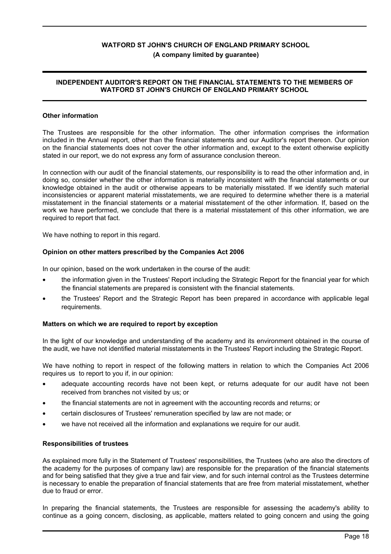# **INDEPENDENT AUDITOR'S REPORT ON THE FINANCIAL STATEMENTS TO THE MEMBERS OF WATFORD ST JOHN'S CHURCH OF ENGLAND PRIMARY SCHOOL**

# **Other information**

The Trustees are responsible for the other information. The other information comprises the information included in the Annual report, other than the financial statements and our Auditor's report thereon. Our opinion on the financial statements does not cover the other information and, except to the extent otherwise explicitly stated in our report, we do not express any form of assurance conclusion thereon.

In connection with our audit of the financial statements, our responsibility is to read the other information and, in doing so, consider whether the other information is materially inconsistent with the financial statements or our knowledge obtained in the audit or otherwise appears to be materially misstated. If we identify such material inconsistencies or apparent material misstatements, we are required to determine whether there is a material misstatement in the financial statements or a material misstatement of the other information. If, based on the work we have performed, we conclude that there is a material misstatement of this other information, we are required to report that fact.

We have nothing to report in this regard.

# **Opinion on other matters prescribed by the Companies Act 2006**

In our opinion, based on the work undertaken in the course of the audit:

- the information given in the Trustees' Report including the Strategic Report for the financial year for which the financial statements are prepared is consistent with the financial statements.
- the Trustees' Report and the Strategic Report has been prepared in accordance with applicable legal requirements.

# **Matters on which we are required to report by exception**

In the light of our knowledge and understanding of the academy and its environment obtained in the course of the audit, we have not identified material misstatements in the Trustees' Report including the Strategic Report.

We have nothing to report in respect of the following matters in relation to which the Companies Act 2006 requires us to report to you if, in our opinion:

- adequate accounting records have not been kept, or returns adequate for our audit have not been received from branches not visited by us; or
- the financial statements are not in agreement with the accounting records and returns; or
- certain disclosures of Trustees' remuneration specified by law are not made; or
- we have not received all the information and explanations we require for our audit.

#### **Responsibilities of trustees**

As explained more fully in the Statement of Trustees' responsibilities, the Trustees (who are also the directors of the academy for the purposes of company law) are responsible for the preparation of the financial statements and for being satisfied that they give a true and fair view, and for such internal control as the Trustees determine is necessary to enable the preparation of financial statements that are free from material misstatement, whether due to fraud or error.

In preparing the financial statements, the Trustees are responsible for assessing the academy's ability to continue as a going concern, disclosing, as applicable, matters related to going concern and using the going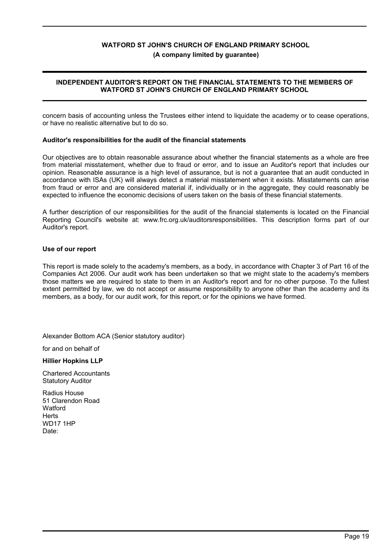# **(A company limited by guarantee)**

# **INDEPENDENT AUDITOR'S REPORT ON THE FINANCIAL STATEMENTS TO THE MEMBERS OF WATFORD ST JOHN'S CHURCH OF ENGLAND PRIMARY SCHOOL**

concern basis of accounting unless the Trustees either intend to liquidate the academy or to cease operations, or have no realistic alternative but to do so.

# **Auditor's responsibilities for the audit of the financial statements**

Our objectives are to obtain reasonable assurance about whether the financial statements as a whole are free from material misstatement, whether due to fraud or error, and to issue an Auditor's report that includes our opinion. Reasonable assurance is a high level of assurance, but is not a guarantee that an audit conducted in accordance with ISAs (UK) will always detect a material misstatement when it exists. Misstatements can arise from fraud or error and are considered material if, individually or in the aggregate, they could reasonably be expected to influence the economic decisions of users taken on the basis of these financial statements.

A further description of our responsibilities for the audit of the financial statements is located on the Financial Reporting Council's website at: www.frc.org.uk/auditorsresponsibilities. This description forms part of our Auditor's report.

#### **Use of our report**

This report is made solely to the academy's members, as a body, in accordance with Chapter 3 of Part 16 of the Companies Act 2006. Our audit work has been undertaken so that we might state to the academy's members those matters we are required to state to them in an Auditor's report and for no other purpose. To the fullest extent permitted by law, we do not accept or assume responsibility to anyone other than the academy and its members, as a body, for our audit work, for this report, or for the opinions we have formed.

Alexander Bottom ACA (Senior statutory auditor)

for and on behalf of

**Hillier Hopkins LLP**

Chartered Accountants Statutory Auditor

Radius House 51 Clarendon Road **Watford Herts** WD17 1HP Date: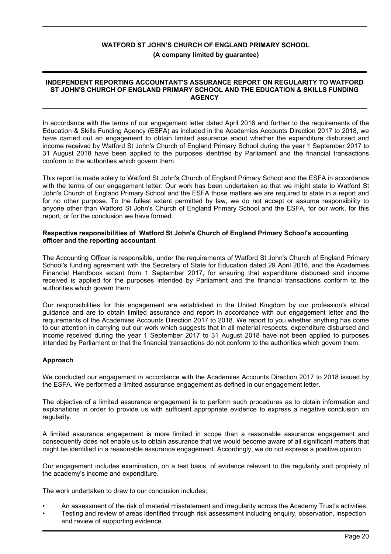#### **INDEPENDENT REPORTING ACCOUNTANT'S ASSURANCE REPORT ON REGULARITY TO WATFORD ST JOHN'S CHURCH OF ENGLAND PRIMARY SCHOOL AND THE EDUCATION & SKILLS FUNDING AGENCY**

In accordance with the terms of our engagement letter dated April 2016 and further to the requirements of the Education & Skills Funding Agency (ESFA) as included in the Academies Accounts Direction 2017 to 2018, we have carried out an engagement to obtain limited assurance about whether the expenditure disbursed and income received by Watford St John's Church of England Primary School during the year 1 September 2017 to 31 August 2018 have been applied to the purposes identified by Parliament and the financial transactions conform to the authorities which govern them.

This report is made solely to Watford St John's Church of England Primary School and the ESFA in accordance with the terms of our engagement letter. Our work has been undertaken so that we might state to Watford St John's Church of England Primary School and the ESFA those matters we are required to state in a report and for no other purpose. To the fullest extent permitted by law, we do not accept or assume responsibility to anyone other than Watford St John's Church of England Primary School and the ESFA, for our work, for this report, or for the conclusion we have formed.

#### **Respective responsibilities of Watford St John's Church of England Primary School's accounting officer and the reporting accountant**

The Accounting Officer is responsible, under the requirements of Watford St John's Church of England Primary School's funding agreement with the Secretary of State for Education dated 29 April 2016, and the Academies Financial Handbook extant from 1 September 2017, for ensuring that expenditure disbursed and income received is applied for the purposes intended by Parliament and the financial transactions conform to the authorities which govern them.

Our responsibilities for this engagement are established in the United Kingdom by our profession's ethical guidance and are to obtain limited assurance and report in accordance with our engagement letter and the requirements of the Academies Accounts Direction 2017 to 2018. We report to you whether anything has come to our attention in carrying out our work which suggests that in all material respects, expenditure disbursed and income received during the year 1 September 2017 to 31 August 2018 have not been applied to purposes intended by Parliament or that the financial transactions do not conform to the authorities which govern them.

# **Approach**

We conducted our engagement in accordance with the Academies Accounts Direction 2017 to 2018 issued by the ESFA. We performed a limited assurance engagement as defined in our engagement letter.

The objective of a limited assurance engagement is to perform such procedures as to obtain information and explanations in order to provide us with sufficient appropriate evidence to express a negative conclusion on regularity.

A limited assurance engagement is more limited in scope than a reasonable assurance engagement and consequently does not enable us to obtain assurance that we would become aware of all significant matters that might be identified in a reasonable assurance engagement. Accordingly, we do not express a positive opinion.

Our engagement includes examination, on a test basis, of evidence relevant to the regularity and propriety of the academy's income and expenditure.

The work undertaken to draw to our conclusion includes:

- An assessment of the risk of material misstatement and irregularity across the Academy Trust's activities.
- Testing and review of areas identified through risk assessment including enquiry, observation, inspection and review of supporting evidence.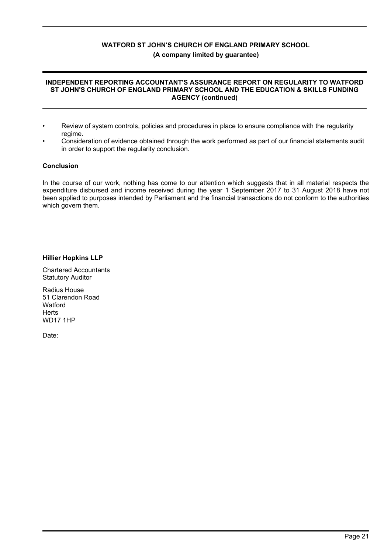#### **INDEPENDENT REPORTING ACCOUNTANT'S ASSURANCE REPORT ON REGULARITY TO WATFORD ST JOHN'S CHURCH OF ENGLAND PRIMARY SCHOOL AND THE EDUCATION & SKILLS FUNDING AGENCY (continued)**

- Review of system controls, policies and procedures in place to ensure compliance with the regularity regime.
- Consideration of evidence obtained through the work performed as part of our financial statements audit in order to support the regularity conclusion.

# **Conclusion**

In the course of our work, nothing has come to our attention which suggests that in all material respects the expenditure disbursed and income received during the year 1 September 2017 to 31 August 2018 have not been applied to purposes intended by Parliament and the financial transactions do not conform to the authorities which govern them.

# **Hillier Hopkins LLP**

Chartered Accountants Statutory Auditor

Radius House 51 Clarendon Road **Watford Herts** WD17 1HP

Date: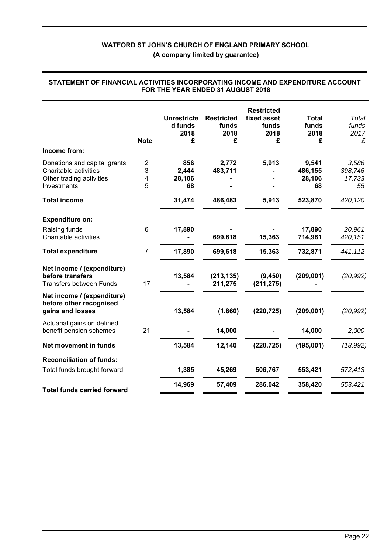**(A company limited by guarantee)**

|                                                                                                  | <b>Note</b>                            | <b>Unrestricte</b><br>d funds<br>2018<br>£ | <b>Restricted</b><br>funds<br>2018<br>£ | <b>Restricted</b><br>fixed asset<br>funds<br>2018<br>£ | <b>Total</b><br>funds<br>2018<br>£ | Total<br>funds<br>2017<br>£      |
|--------------------------------------------------------------------------------------------------|----------------------------------------|--------------------------------------------|-----------------------------------------|--------------------------------------------------------|------------------------------------|----------------------------------|
| Income from:                                                                                     |                                        |                                            |                                         |                                                        |                                    |                                  |
| Donations and capital grants<br>Charitable activities<br>Other trading activities<br>Investments | $\overline{\mathbf{c}}$<br>3<br>4<br>5 | 856<br>2,444<br>28,106<br>68               | 2,772<br>483,711                        | 5,913                                                  | 9,541<br>486,155<br>28,106<br>68   | 3,586<br>398,746<br>17,733<br>55 |
| <b>Total income</b>                                                                              |                                        | 31,474                                     | 486,483                                 | 5,913                                                  | 523,870                            | 420,120                          |
| <b>Expenditure on:</b>                                                                           |                                        |                                            |                                         |                                                        |                                    |                                  |
| Raising funds<br>Charitable activities                                                           | 6                                      | 17,890                                     | 699,618                                 | 15,363                                                 | 17,890<br>714,981                  | 20,961<br>420, 151               |
| <b>Total expenditure</b>                                                                         | $\overline{7}$                         | 17,890                                     | 699,618                                 | 15,363                                                 | 732,871                            | 441,112                          |
| Net income / (expenditure)<br>before transfers<br><b>Transfers between Funds</b>                 | 17                                     | 13,584                                     | (213, 135)<br>211,275                   | (9, 450)<br>(211, 275)                                 | (209, 001)                         | (20, 992)                        |
| Net income / (expenditure)<br>before other recognised<br>gains and losses                        |                                        | 13,584                                     | (1,860)                                 | (220, 725)                                             | (209, 001)                         | (20, 992)                        |
| Actuarial gains on defined<br>benefit pension schemes                                            | 21                                     |                                            | 14,000                                  |                                                        | 14,000                             | 2,000                            |
| Net movement in funds                                                                            |                                        | 13,584                                     | 12,140                                  | (220, 725)                                             | (195,001)                          | (18, 992)                        |
| <b>Reconciliation of funds:</b>                                                                  |                                        |                                            |                                         |                                                        |                                    |                                  |
| Total funds brought forward                                                                      |                                        | 1,385                                      | 45,269                                  | 506,767                                                | 553,421                            | 572,413                          |
| <b>Total funds carried forward</b>                                                               |                                        | 14,969                                     | 57,409                                  | 286,042                                                | 358,420                            | 553,421                          |
|                                                                                                  |                                        |                                            |                                         |                                                        |                                    |                                  |

#### **STATEMENT OF FINANCIAL ACTIVITIES INCORPORATING INCOME AND EXPENDITURE ACCOUNT FOR THE YEAR ENDED 31 AUGUST 2018**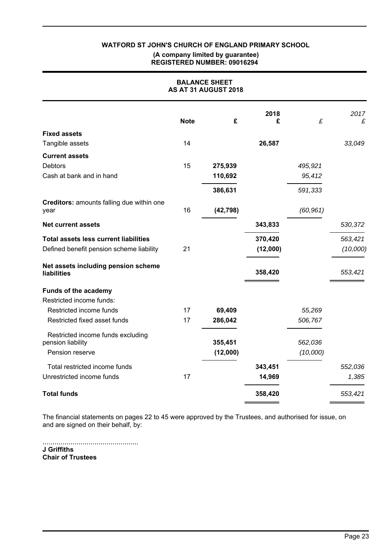#### **(A company limited by guarantee) REGISTERED NUMBER: 09016294**

| <b>BALANCE SHEET</b><br>AS AT 31 AUGUST 2018           |             |           |           |           |           |
|--------------------------------------------------------|-------------|-----------|-----------|-----------|-----------|
|                                                        | <b>Note</b> | £         | 2018<br>£ | £         | 2017<br>£ |
| <b>Fixed assets</b>                                    |             |           |           |           |           |
| Tangible assets                                        | 14          |           | 26,587    |           | 33,049    |
| <b>Current assets</b>                                  |             |           |           |           |           |
| <b>Debtors</b>                                         | 15          | 275,939   |           | 495,921   |           |
| Cash at bank and in hand                               |             | 110,692   |           | 95,412    |           |
|                                                        |             | 386,631   |           | 591,333   |           |
| Creditors: amounts falling due within one<br>year      | 16          | (42, 798) |           | (60, 961) |           |
| <b>Net current assets</b>                              |             |           | 343,833   |           | 530,372   |
| <b>Total assets less current liabilities</b>           |             |           | 370,420   |           | 563,421   |
| Defined benefit pension scheme liability               | 21          |           | (12,000)  |           | (10,000)  |
| Net assets including pension scheme<br>liabilities     |             |           | 358,420   |           | 553,421   |
| Funds of the academy                                   |             |           |           |           |           |
| Restricted income funds:                               |             |           |           |           |           |
| Restricted income funds                                | 17          | 69,409    |           | 55,269    |           |
| Restricted fixed asset funds                           | 17          | 286,042   |           | 506,767   |           |
| Restricted income funds excluding<br>pension liability |             | 355,451   |           | 562,036   |           |
| Pension reserve                                        |             | (12,000)  |           | (10,000)  |           |
|                                                        |             |           |           |           |           |
| Total restricted income funds                          |             |           | 343,451   |           | 552,036   |
| Unrestricted income funds                              | 17          |           | 14,969    |           | 1,385     |
| <b>Total funds</b>                                     |             |           | 358,420   |           | 553,421   |

The financial statements on pages 22 to 45 were approved by the Trustees, and authorised for issue, on and are signed on their behalf, by:

................................................ **J Griffiths Chair of Trustees**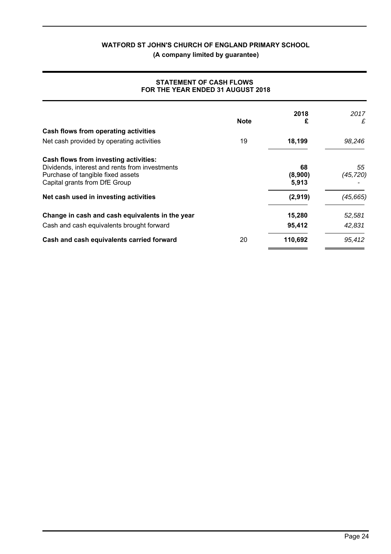**(A company limited by guarantee)**

| FOR THE YEAR ENDED 31 AUGUST 2018                                                                                                                             |             |                        |                 |
|---------------------------------------------------------------------------------------------------------------------------------------------------------------|-------------|------------------------|-----------------|
|                                                                                                                                                               | <b>Note</b> | 2018<br>£              | 2017<br>£       |
| Cash flows from operating activities                                                                                                                          |             |                        |                 |
| Net cash provided by operating activities                                                                                                                     | 19          | 18,199                 | 98,246          |
| Cash flows from investing activities:<br>Dividends, interest and rents from investments<br>Purchase of tangible fixed assets<br>Capital grants from DfE Group |             | 68<br>(8,900)<br>5,913 | 55<br>(45, 720) |
| Net cash used in investing activities                                                                                                                         |             | (2,919)                | (45, 665)       |
| Change in cash and cash equivalents in the year                                                                                                               |             | 15,280                 | 52,581          |
| Cash and cash equivalents brought forward                                                                                                                     |             | 95,412                 | 42,831          |
| Cash and cash equivalents carried forward                                                                                                                     | 20          | 110,692                | 95,412          |

# **STATEMENT OF CASH FLOWS FOR THE YEAR ENDED 31 AUGUST 2018**

 $=$ 

ł.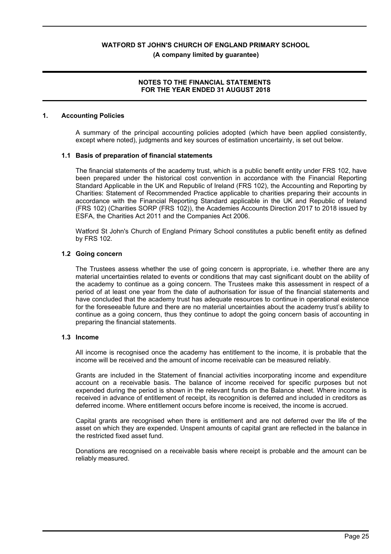**(A company limited by guarantee)**

# **NOTES TO THE FINANCIAL STATEMENTS FOR THE YEAR ENDED 31 AUGUST 2018**

# **1. Accounting Policies**

A summary of the principal accounting policies adopted (which have been applied consistently, except where noted), judgments and key sources of estimation uncertainty, is set out below.

# **1.1 Basis of preparation of financial statements**

The financial statements of the academy trust, which is a public benefit entity under FRS 102, have been prepared under the historical cost convention in accordance with the Financial Reporting Standard Applicable in the UK and Republic of Ireland (FRS 102), the Accounting and Reporting by Charities: Statement of Recommended Practice applicable to charities preparing their accounts in accordance with the Financial Reporting Standard applicable in the UK and Republic of Ireland (FRS 102) (Charities SORP (FRS 102)), the Academies Accounts Direction 2017 to 2018 issued by ESFA, the Charities Act 2011 and the Companies Act 2006.

Watford St John's Church of England Primary School constitutes a public benefit entity as defined by FRS 102.

# **1.2 Going concern**

The Trustees assess whether the use of going concern is appropriate, i.e. whether there are any material uncertainties related to events or conditions that may cast significant doubt on the ability of the academy to continue as a going concern. The Trustees make this assessment in respect of a period of at least one year from the date of authorisation for issue of the financial statements and have concluded that the academy trust has adequate resources to continue in operational existence for the foreseeable future and there are no material uncertainties about the academy trust's ability to continue as a going concern, thus they continue to adopt the going concern basis of accounting in preparing the financial statements.

# **1.3 Income**

All income is recognised once the academy has entitlement to the income, it is probable that the income will be received and the amount of income receivable can be measured reliably.

Grants are included in the Statement of financial activities incorporating income and expenditure account on a receivable basis. The balance of income received for specific purposes but not expended during the period is shown in the relevant funds on the Balance sheet. Where income is received in advance of entitlement of receipt, its recognition is deferred and included in creditors as deferred income. Where entitlement occurs before income is received, the income is accrued.

Capital grants are recognised when there is entitlement and are not deferred over the life of the asset on which they are expended. Unspent amounts of capital grant are reflected in the balance in the restricted fixed asset fund.

Donations are recognised on a receivable basis where receipt is probable and the amount can be reliably measured.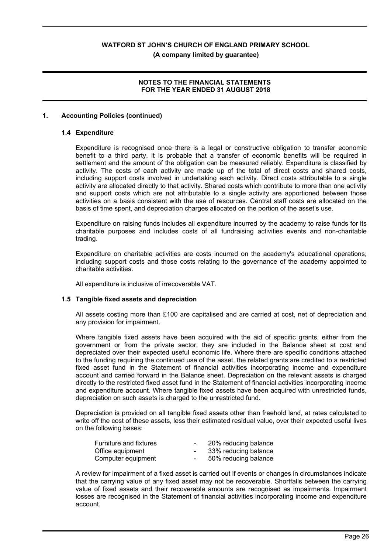**(A company limited by guarantee)**

# **NOTES TO THE FINANCIAL STATEMENTS FOR THE YEAR ENDED 31 AUGUST 2018**

# **1. Accounting Policies (continued)**

#### **1.4 Expenditure**

Expenditure is recognised once there is a legal or constructive obligation to transfer economic benefit to a third party, it is probable that a transfer of economic benefits will be required in settlement and the amount of the obligation can be measured reliably. Expenditure is classified by activity. The costs of each activity are made up of the total of direct costs and shared costs, including support costs involved in undertaking each activity. Direct costs attributable to a single activity are allocated directly to that activity. Shared costs which contribute to more than one activity and support costs which are not attributable to a single activity are apportioned between those activities on a basis consistent with the use of resources. Central staff costs are allocated on the basis of time spent, and depreciation charges allocated on the portion of the asset's use.

Expenditure on raising funds includes all expenditure incurred by the academy to raise funds for its charitable purposes and includes costs of all fundraising activities events and non-charitable trading.

Expenditure on charitable activities are costs incurred on the academy's educational operations, including support costs and those costs relating to the governance of the academy appointed to charitable activities.

All expenditure is inclusive of irrecoverable VAT.

# **1.5 Tangible fixed assets and depreciation**

All assets costing more than £100 are capitalised and are carried at cost, net of depreciation and any provision for impairment.

Where tangible fixed assets have been acquired with the aid of specific grants, either from the government or from the private sector, they are included in the Balance sheet at cost and depreciated over their expected useful economic life. Where there are specific conditions attached to the funding requiring the continued use of the asset, the related grants are credited to a restricted fixed asset fund in the Statement of financial activities incorporating income and expenditure account and carried forward in the Balance sheet. Depreciation on the relevant assets is charged directly to the restricted fixed asset fund in the Statement of financial activities incorporating income and expenditure account. Where tangible fixed assets have been acquired with unrestricted funds, depreciation on such assets is charged to the unrestricted fund.

Depreciation is provided on all tangible fixed assets other than freehold land, at rates calculated to write off the cost of these assets, less their estimated residual value, over their expected useful lives on the following bases:

| <b>Furniture and fixtures</b> | $\overline{\phantom{0}}$ | 20% reducing balance |
|-------------------------------|--------------------------|----------------------|
| Office equipment              | $\overline{\phantom{0}}$ | 33% reducing balance |
| Computer equipment            | $\sim$                   | 50% reducing balance |

A review for impairment of a fixed asset is carried out if events or changes in circumstances indicate that the carrying value of any fixed asset may not be recoverable. Shortfalls between the carrying value of fixed assets and their recoverable amounts are recognised as impairments. Impairment losses are recognised in the Statement of financial activities incorporating income and expenditure account.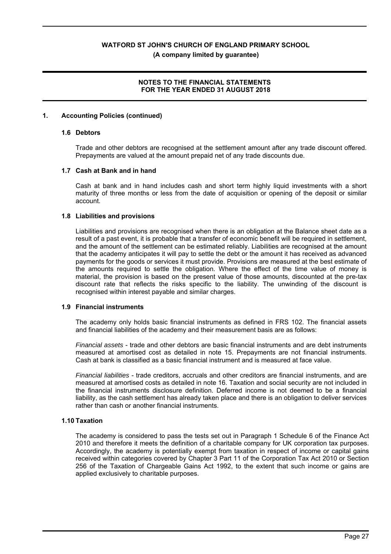**(A company limited by guarantee)**

# **NOTES TO THE FINANCIAL STATEMENTS FOR THE YEAR ENDED 31 AUGUST 2018**

# **1. Accounting Policies (continued)**

#### **1.6 Debtors**

Trade and other debtors are recognised at the settlement amount after any trade discount offered. Prepayments are valued at the amount prepaid net of any trade discounts due.

# **1.7 Cash at Bank and in hand**

Cash at bank and in hand includes cash and short term highly liquid investments with a short maturity of three months or less from the date of acquisition or opening of the deposit or similar account.

#### **1.8 Liabilities and provisions**

Liabilities and provisions are recognised when there is an obligation at the Balance sheet date as a result of a past event, it is probable that a transfer of economic benefit will be required in settlement, and the amount of the settlement can be estimated reliably. Liabilities are recognised at the amount that the academy anticipates it will pay to settle the debt or the amount it has received as advanced payments for the goods or services it must provide. Provisions are measured at the best estimate of the amounts required to settle the obligation. Where the effect of the time value of money is material, the provision is based on the present value of those amounts, discounted at the pre-tax discount rate that reflects the risks specific to the liability. The unwinding of the discount is recognised within interest payable and similar charges.

# **1.9 Financial instruments**

The academy only holds basic financial instruments as defined in FRS 102. The financial assets and financial liabilities of the academy and their measurement basis are as follows:

*Financial assets* - trade and other debtors are basic financial instruments and are debt instruments measured at amortised cost as detailed in note 15. Prepayments are not financial instruments. Cash at bank is classified as a basic financial instrument and is measured at face value.

*Financial liabilities* - trade creditors, accruals and other creditors are financial instruments, and are measured at amortised costs as detailed in note 16. Taxation and social security are not included in the financial instruments disclosure definition. Deferred income is not deemed to be a financial liability, as the cash settlement has already taken place and there is an obligation to deliver services rather than cash or another financial instruments.

# **1.10 Taxation**

The academy is considered to pass the tests set out in Paragraph 1 Schedule 6 of the Finance Act 2010 and therefore it meets the definition of a charitable company for UK corporation tax purposes. Accordingly, the academy is potentially exempt from taxation in respect of income or capital gains received within categories covered by Chapter 3 Part 11 of the Corporation Tax Act 2010 or Section 256 of the Taxation of Chargeable Gains Act 1992, to the extent that such income or gains are applied exclusively to charitable purposes.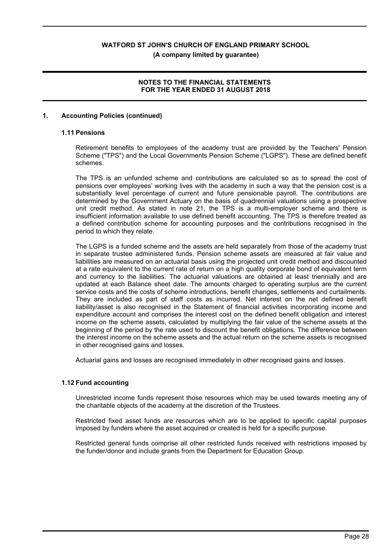**(A company limited by guarantee)**

# **NOTES TO THE FINANCIAL STATEMENTS FOR THE YEAR ENDED 31 AUGUST 2018**

# **1. Accounting Policies (continued)**

#### **1.11 Pensions**

Retirement benefits to employees of the academy trust are provided by the Teachers' Pension Scheme ("TPS") and the Local Governments Pension Scheme ("LGPS"). These are defined benefit schemes.

The TPS is an unfunded scheme and contributions are calculated so as to spread the cost of pensions over employees' working lives with the academy in such a way that the pension cost is a substantially level percentage of current and future pensionable payroll. The contributions are determined by the Government Actuary on the basis of quadrennial valuations using a prospective unit credit method. As stated in note 21, the TPS is a multi-employer scheme and there is insufficient information available to use defined benefit accounting. The TPS is therefore treated as a defined contribution scheme for accounting purposes and the contributions recognised in the period to which they relate.

The LGPS is a funded scheme and the assets are held separately from those of the academy trust in separate trustee administered funds. Pension scheme assets are measured at fair value and liabilities are measured on an actuarial basis using the projected unit credit method and discounted at a rate equivalent to the current rate of return on a high quality corporate bond of equivalent term and currency to the liabilities. The actuarial valuations are obtained at least triennially and are updated at each Balance sheet date. The amounts charged to operating surplus are the current service costs and the costs of scheme introductions, benefit changes, settlements and curtailments. They are included as part of staff costs as incurred. Net interest on the net defined benefit liability/asset is also recognised in the Statement of financial activities incorporating income and expenditure account and comprises the interest cost on the defined benefit obligation and interest income on the scheme assets, calculated by multiplying the fair value of the scheme assets at the beginning of the period by the rate used to discount the benefit obligations. The difference between the interest income on the scheme assets and the actual return on the scheme assets is recognised in other recognised gains and losses.

Actuarial gains and losses are recognised immediately in other recognised gains and losses.

# **1.12 Fund accounting**

Unrestricted income funds represent those resources which may be used towards meeting any of the charitable objects of the academy at the discretion of the Trustees.

Restricted fixed asset funds are resources which are to be applied to specific capital purposes imposed by funders where the asset acquired or created is held for a specific purpose.

Restricted general funds comprise all other restricted funds received with restrictions imposed by the funder/donor and include grants from the Department for Education Group.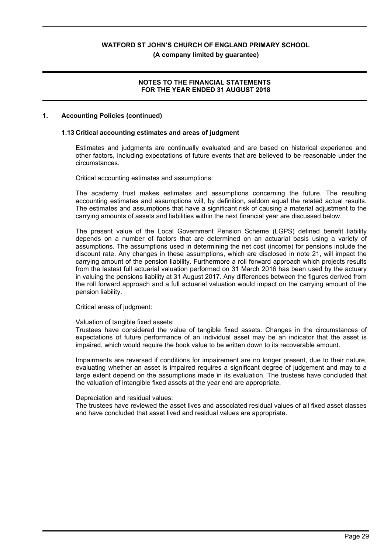**(A company limited by guarantee)**

# **NOTES TO THE FINANCIAL STATEMENTS FOR THE YEAR ENDED 31 AUGUST 2018**

# **1. Accounting Policies (continued)**

#### **1.13 Critical accounting estimates and areas of judgment**

Estimates and judgments are continually evaluated and are based on historical experience and other factors, including expectations of future events that are believed to be reasonable under the circumstances.

Critical accounting estimates and assumptions:

The academy trust makes estimates and assumptions concerning the future. The resulting accounting estimates and assumptions will, by definition, seldom equal the related actual results. The estimates and assumptions that have a significant risk of causing a material adjustment to the carrying amounts of assets and liabilities within the next financial year are discussed below.

The present value of the Local Government Pension Scheme (LGPS) defined benefit liability depends on a number of factors that are determined on an actuarial basis using a variety of assumptions. The assumptions used in determining the net cost (income) for pensions include the discount rate. Any changes in these assumptions, which are disclosed in note 21, will impact the carrying amount of the pension liability. Furthermore a roll forward approach which projects results from the lastest full actuarial valuation performed on 31 March 2016 has been used by the actuary in valuing the pensions liability at 31 August 2017. Any differences between the figures derived from the roll forward approach and a full actuarial valuation would impact on the carrying amount of the pension liability.

# Critical areas of judgment:

#### Valuation of tangible fixed assets:

Trustees have considered the value of tangible fixed assets. Changes in the circumstances of expectations of future performance of an individual asset may be an indicator that the asset is impaired, which would require the book value to be written down to its recoverable amount.

Impairments are reversed if conditions for impairement are no longer present, due to their nature, evaluating whether an asset is impaired requires a significant degree of judgement and may to a large extent depend on the assumptions made in its evaluation. The trustees have concluded that the valuation of intangible fixed assets at the year end are appropriate.

# Depreciation and residual values:

The trustees have reviewed the asset lives and associated residual values of all fixed asset classes and have concluded that asset lived and residual values are appropriate.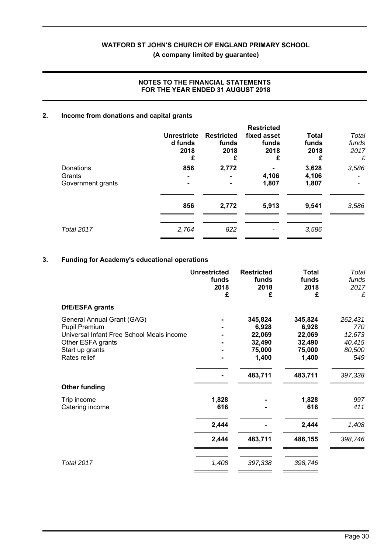# **(A company limited by guarantee)**

# **NOTES TO THE FINANCIAL STATEMENTS FOR THE YEAR ENDED 31 AUGUST 2018**

# **2. Income from donations and capital grants**

|                                          | Unrestricte<br>d funds<br>2018<br>£ | <b>Restricted</b><br>funds<br>2018<br>£ | <b>Restricted</b><br>fixed asset<br>funds<br>2018<br>£ | <b>Total</b><br>funds<br>2018<br>£ | Total<br>funds<br>2017<br>£ |
|------------------------------------------|-------------------------------------|-----------------------------------------|--------------------------------------------------------|------------------------------------|-----------------------------|
| Donations<br>Grants<br>Government grants | 856                                 | 2,772                                   | 4,106<br>1,807                                         | 3,628<br>4,106<br>1,807            | 3,586                       |
|                                          | 856                                 | 2,772                                   | 5,913                                                  | 9,541                              | 3,586                       |
| <b>Total 2017</b>                        | 2,764                               | 822                                     |                                                        | 3,586                              |                             |

# **3. Funding for Academy's educational operations**

|                                           | <b>Unrestricted</b><br>funds<br>2018<br>£ | <b>Restricted</b><br>funds<br>2018<br>£ | <b>Total</b><br>funds<br>2018<br>£ | Total<br>funds<br>2017<br>£ |
|-------------------------------------------|-------------------------------------------|-----------------------------------------|------------------------------------|-----------------------------|
| DfE/ESFA grants                           |                                           |                                         |                                    |                             |
| General Annual Grant (GAG)                |                                           | 345,824                                 | 345,824                            | 262,431                     |
| Pupil Premium                             |                                           | 6,928                                   | 6,928                              | 770                         |
| Universal Infant Free School Meals income |                                           | 22,069                                  | 22,069                             | 12,673                      |
| Other ESFA grants                         |                                           | 32,490                                  | 32,490                             | 40,415                      |
| Start up grants                           |                                           | 75,000                                  | 75,000                             | 80,500                      |
| Rates relief                              |                                           | 1,400                                   | 1,400                              | 549                         |
|                                           |                                           | 483,711                                 | 483,711                            | 397,338                     |
| <b>Other funding</b>                      |                                           |                                         |                                    |                             |
| Trip income                               | 1,828                                     |                                         | 1,828                              | 997                         |
| Catering income                           | 616                                       |                                         | 616                                | 411                         |
|                                           | 2,444                                     |                                         | 2,444                              | 1,408                       |
|                                           | 2,444                                     | 483,711                                 | 486,155                            | 398,746                     |
| <b>Total 2017</b>                         | 1,408                                     | 397,338                                 | 398,746                            |                             |
|                                           |                                           |                                         |                                    |                             |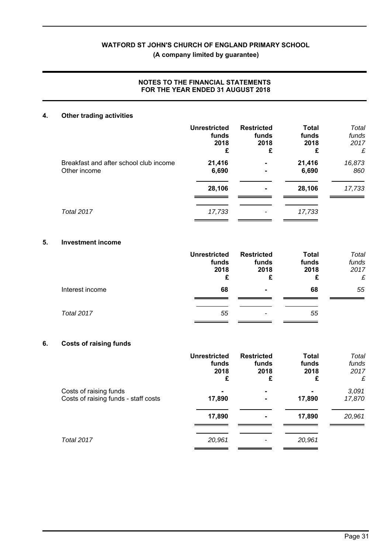# **(A company limited by guarantee)**

# **NOTES TO THE FINANCIAL STATEMENTS FOR THE YEAR ENDED 31 AUGUST 2018**

# **4. Other trading activities**

|                                        | <b>Unrestricted</b> | <b>Restricted</b>        | <b>Total</b> | Total  |
|----------------------------------------|---------------------|--------------------------|--------------|--------|
|                                        | funds               | funds                    | funds        | funds  |
|                                        | 2018                | 2018                     | 2018         | 2017   |
|                                        | £                   | £                        | £            | £      |
| Breakfast and after school club income | 21,416              | $\blacksquare$           | 21,416       | 16,873 |
| Other income                           | 6,690               | $\blacksquare$           | 6,690        | 860    |
|                                        | 28,106              | $\blacksquare$           | 28,106       | 17,733 |
| Total 2017                             | 17,733              | $\overline{\phantom{a}}$ | 17,733       |        |

# **5. Investment income**

|                 | <b>Unrestricted</b><br>funds<br>2018<br>£ | <b>Restricted</b><br>funds<br>2018<br>£ | <b>Total</b><br>funds<br>2018<br>£ | Total<br>funds<br>2017<br>£ |
|-----------------|-------------------------------------------|-----------------------------------------|------------------------------------|-----------------------------|
| Interest income | 68                                        | ۰.                                      | 68                                 | 55                          |
| Total 2017      | 55                                        | $\overline{\phantom{a}}$                | 55                                 |                             |

# **6. Costs of raising funds**

|                                                                | <b>Unrestricted</b><br>funds<br>2018<br>£ | <b>Restricted</b><br>funds<br>2018<br>£ | <b>Total</b><br>funds<br>2018<br>£ | Total<br>funds<br>2017<br>£ |
|----------------------------------------------------------------|-------------------------------------------|-----------------------------------------|------------------------------------|-----------------------------|
| Costs of raising funds<br>Costs of raising funds - staff costs | 17,890                                    | ۰<br>۰                                  | 17,890                             | 3,091<br>17,870             |
|                                                                | 17,890                                    | ۰                                       | 17,890                             | 20,961                      |
| Total 2017                                                     | 20,961                                    |                                         | 20,961                             |                             |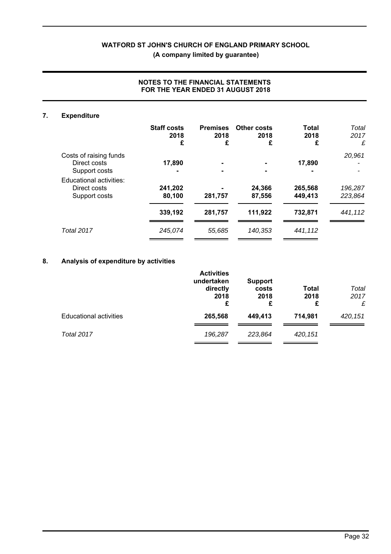**(A company limited by guarantee)**

| 7. | <b>Expenditure</b>                                       |                    |                 |                  |                    |                    |
|----|----------------------------------------------------------|--------------------|-----------------|------------------|--------------------|--------------------|
|    |                                                          | <b>Staff costs</b> | <b>Premises</b> | Other costs      | Total              | Total              |
|    |                                                          | 2018<br>£          | 2018<br>£       | 2018<br>£        | 2018<br>£          | 2017<br>£          |
|    |                                                          |                    |                 |                  |                    |                    |
|    | Costs of raising funds<br>Direct costs                   | 17,890             | $\blacksquare$  |                  | 17,890             | 20,961             |
|    | Support costs                                            |                    |                 |                  |                    |                    |
|    | Educational activities:<br>Direct costs<br>Support costs | 241,202<br>80,100  | 281,757         | 24,366<br>87,556 | 265,568<br>449,413 | 196,287<br>223,864 |
|    |                                                          | 339,192            | 281,757         | 111,922          | 732,871            | 441,112            |
|    | Total 2017                                               | 245,074            | 55,685          | 140,353          | 441,112            |                    |
|    |                                                          |                    |                 |                  |                    |                    |

# **NOTES TO THE FINANCIAL STATEMENTS FOR THE YEAR ENDED 31 AUGUST 2018**

# **8. Analysis of expenditure by activities**

|                               | <b>Activities</b><br>undertaken<br>directly<br>2018<br>£ | <b>Support</b><br>costs<br>2018<br>£ | <b>Total</b><br>2018<br>£ | Total<br>2017<br>£ |
|-------------------------------|----------------------------------------------------------|--------------------------------------|---------------------------|--------------------|
| <b>Educational activities</b> | 265,568                                                  | 449,413                              | 714,981                   | 420,151            |
| Total 2017                    | 196,287                                                  | 223,864                              | 420,151                   |                    |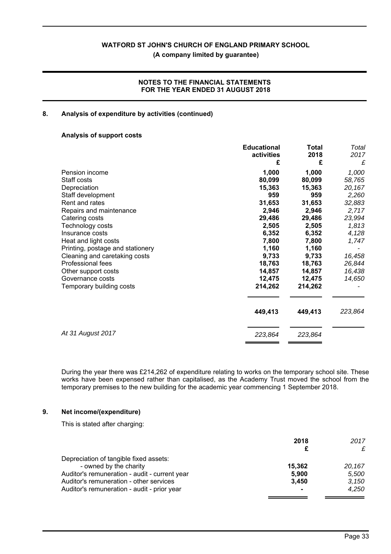**(A company limited by guarantee)**

# **NOTES TO THE FINANCIAL STATEMENTS FOR THE YEAR ENDED 31 AUGUST 2018**

# **8. Analysis of expenditure by activities (continued)**

# **Analysis of support costs**

|                                  | <b>Educational</b> | Total   | Total   |
|----------------------------------|--------------------|---------|---------|
|                                  | activities         | 2018    | 2017    |
|                                  | £                  | £       | £       |
| Pension income                   | 1,000              | 1,000   | 1,000   |
| Staff costs                      | 80,099             | 80,099  | 58,765  |
| Depreciation                     | 15,363             | 15,363  | 20,167  |
| Staff development                | 959                | 959     | 2,260   |
| Rent and rates                   | 31,653             | 31,653  | 32,883  |
| Repairs and maintenance          | 2,946              | 2,946   | 2,717   |
| Catering costs                   | 29,486             | 29,486  | 23,994  |
| Technology costs                 | 2,505              | 2,505   | 1,813   |
| Insurance costs                  | 6,352              | 6,352   | 4,128   |
| Heat and light costs             | 7,800              | 7,800   | 1,747   |
| Printing, postage and stationery | 1,160              | 1,160   |         |
| Cleaning and caretaking costs    | 9,733              | 9,733   | 16,458  |
| Professional fees                | 18,763             | 18,763  | 26,844  |
| Other support costs              | 14,857             | 14,857  | 16,438  |
| Governance costs                 | 12,475             | 12,475  | 14,650  |
| Temporary building costs         | 214,262            | 214,262 |         |
|                                  | 449,413            | 449,413 | 223,864 |
| At 31 August 2017                | 223,864            | 223,864 |         |

During the year there was £214,262 of expenditure relating to works on the temporary school site. These works have been expensed rather than capitalised, as the Academy Trust moved the school from the temporary premises to the new building for the academic year commencing 1 September 2018.

# **9. Net income/(expenditure)**

This is stated after charging:

|                                               | 2018   | 2017   |
|-----------------------------------------------|--------|--------|
|                                               |        | £      |
| Depreciation of tangible fixed assets:        |        |        |
| - owned by the charity                        | 15.362 | 20.167 |
| Auditor's remuneration - audit - current year | 5.900  | 5.500  |
| Auditor's remuneration - other services       | 3.450  | 3.150  |
| Auditor's remuneration - audit - prior year   |        | 4.250  |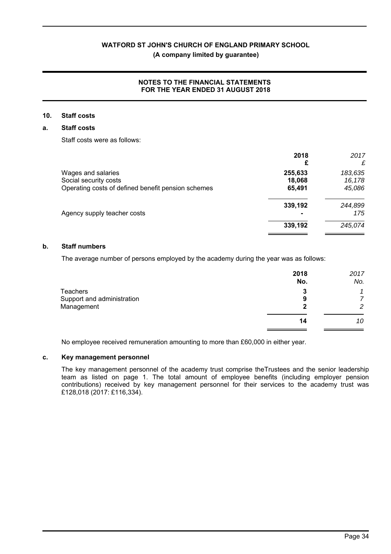# **(A company limited by guarantee)**

# **NOTES TO THE FINANCIAL STATEMENTS FOR THE YEAR ENDED 31 AUGUST 2018**

# **10. Staff costs**

# **a. Staff costs**

Staff costs were as follows:

| 2018    | 2017    |
|---------|---------|
|         | £       |
| 255,633 | 183,635 |
| 18,068  | 16,178  |
| 65,491  | 45,086  |
| 339,192 | 244,899 |
|         | 175     |
| 339,192 | 245,074 |
|         |         |

# **b. Staff numbers**

The average number of persons employed by the academy during the year was as follows:

|                            | 2018 | 2017 |
|----------------------------|------|------|
|                            | No.  | No.  |
| <b>Teachers</b>            | 3    | 1    |
| Support and administration | 9    | 7    |
| Management                 | 2    | 2    |
|                            | 14   | 10   |
|                            |      |      |

No employee received remuneration amounting to more than £60,000 in either year.

# **c. Key management personnel**

The key management personnel of the academy trust comprise theTrustees and the senior leadership team as listed on page 1. The total amount of employee benefits (including employer pension contributions) received by key management personnel for their services to the academy trust was £128,018 (2017: £116,334).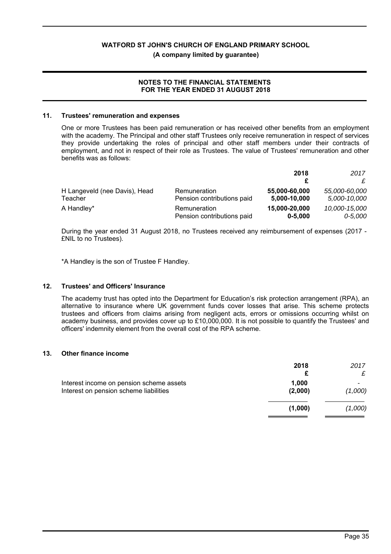#### **(A company limited by guarantee)**

# **NOTES TO THE FINANCIAL STATEMENTS FOR THE YEAR ENDED 31 AUGUST 2018**

#### **11. Trustees' remuneration and expenses**

One or more Trustees has been paid remuneration or has received other benefits from an employment with the academy. The Principal and other staff Trustees only receive remuneration in respect of services they provide undertaking the roles of principal and other staff members under their contracts of employment, and not in respect of their role as Trustees. The value of Trustees' remuneration and other benefits was as follows:

|                               |                            | 2018          | 2017          |
|-------------------------------|----------------------------|---------------|---------------|
|                               |                            |               |               |
| H Langeveld (nee Davis), Head | Remuneration               | 55,000-60,000 | 55.000-60.000 |
| Teacher                       | Pension contributions paid | 5,000-10,000  | 5,000-10,000  |
| A Handley*                    | Remuneration               | 15,000-20,000 | 10,000-15,000 |
|                               | Pension contributions paid | $0 - 5,000$   | $0 - 5,000$   |

During the year ended 31 August 2018, no Trustees received any reimbursement of expenses (2017 - £NIL to no Trustees).

\*A Handley is the son of Trustee F Handley.

# **12. Trustees' and Officers' Insurance**

The academy trust has opted into the Department for Education's risk protection arrangement (RPA), an alternative to insurance where UK government funds cover losses that arise. This scheme protects trustees and officers from claims arising from negligent acts, errors or omissions occurring whilst on academy business, and provides cover up to £10,000,000. It is not possible to quantify the Trustees' and officers' indemnity element from the overall cost of the RPA scheme.

#### **13. Other finance income**

|                                                                                    | 2018             | 2017         |
|------------------------------------------------------------------------------------|------------------|--------------|
| Interest income on pension scheme assets<br>Interest on pension scheme liabilities | 1,000<br>(2,000) | -<br>(1,000) |
|                                                                                    | (1,000)          | (1,000)      |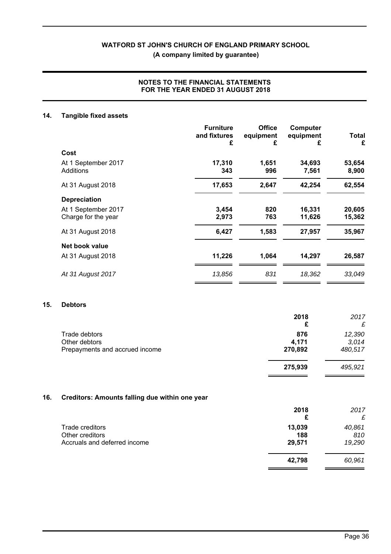**(A company limited by guarantee)**

# **NOTES TO THE FINANCIAL STATEMENTS FOR THE YEAR ENDED 31 AUGUST 2018**

# **14. Tangible fixed assets**

|                     | <b>Furniture</b><br>and fixtures<br>£ | <b>Office</b><br>equipment<br>£ | Computer<br>equipment<br>£ | Total<br>£ |
|---------------------|---------------------------------------|---------------------------------|----------------------------|------------|
| Cost                |                                       |                                 |                            |            |
| At 1 September 2017 | 17,310                                | 1,651                           | 34,693                     | 53,654     |
| Additions           | 343                                   | 996                             | 7,561                      | 8,900      |
| At 31 August 2018   | 17,653                                | 2,647                           | 42,254                     | 62,554     |
| <b>Depreciation</b> |                                       |                                 |                            |            |
| At 1 September 2017 | 3,454                                 | 820                             | 16,331                     | 20,605     |
| Charge for the year | 2,973                                 | 763                             | 11,626                     | 15,362     |
| At 31 August 2018   | 6,427                                 | 1,583                           | 27,957                     | 35,967     |
| Net book value      |                                       |                                 |                            |            |
| At 31 August 2018   | 11,226                                | 1,064                           | 14,297                     | 26,587     |
| At 31 August 2017   | 13,856                                | 831                             | 18,362                     | 33,049     |

# **15. Debtors**

|                                | 2018    | 2017    |
|--------------------------------|---------|---------|
| Trade debtors                  | 876     | 12,390  |
| Other debtors                  | 4,171   | 3,014   |
| Prepayments and accrued income | 270,892 | 480,517 |
|                                | 275,939 | 495,921 |

# **16. Creditors: Amounts falling due within one year**

|                              | 2018<br>£ | 2017<br>£ |
|------------------------------|-----------|-----------|
| Trade creditors              | 13,039    | 40,861    |
| Other creditors              | 188       | 810       |
| Accruals and deferred income | 29,571    | 19,290    |
|                              | 42,798    | 60,961    |

 $\blacksquare$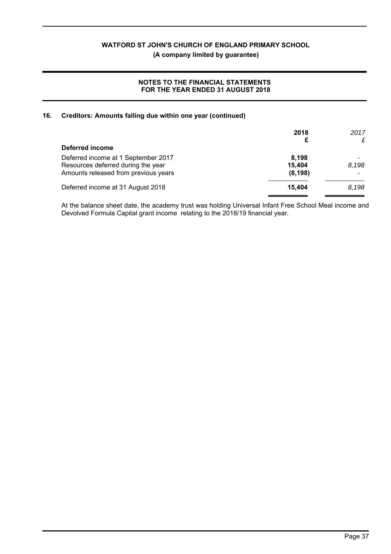**(A company limited by guarantee)**

# **NOTES TO THE FINANCIAL STATEMENTS FOR THE YEAR ENDED 31 AUGUST 2018**

# **16. Creditors: Amounts falling due within one year (continued)**

|                                      | 2018<br>£ | 2017<br>£ |
|--------------------------------------|-----------|-----------|
| Deferred income                      |           |           |
| Deferred income at 1 September 2017  | 8.198     |           |
| Resources deferred during the year   | 15,404    | 8.198     |
| Amounts released from previous years | (8, 198)  |           |
| Deferred income at 31 August 2018    | 15.404    | 8,198     |
|                                      |           |           |

At the balance sheet date, the academy trust was holding Universal Infant Free School Meal income and Devolved Formula Capital grant income relating to the 2018/19 financial year.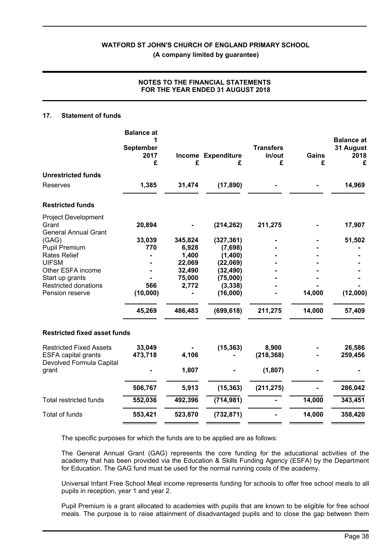# **NOTES TO THE FINANCIAL STATEMENTS FOR THE YEAR ENDED 31 AUGUST 2018**

# **17. Statement of funds**

|                                                                    | <b>Balance at</b><br>1<br><b>September</b><br>2017<br>£ | £       | Income Expenditure<br>£ | <b>Transfers</b><br>in/out<br>£ | <b>Gains</b><br>£ | <b>Balance at</b><br>31 August<br>2018<br>£ |
|--------------------------------------------------------------------|---------------------------------------------------------|---------|-------------------------|---------------------------------|-------------------|---------------------------------------------|
| <b>Unrestricted funds</b>                                          |                                                         |         |                         |                                 |                   |                                             |
| <b>Reserves</b>                                                    | 1,385                                                   | 31,474  | (17, 890)               |                                 |                   | 14,969                                      |
| <b>Restricted funds</b>                                            |                                                         |         |                         |                                 |                   |                                             |
| <b>Project Development</b><br>Grant<br><b>General Annual Grant</b> | 20,894                                                  |         | (214, 262)              | 211,275                         |                   | 17,907                                      |
| (GAG)                                                              | 33,039                                                  | 345,824 | (327, 361)              |                                 |                   | 51,502                                      |
| <b>Pupil Premium</b>                                               | 770                                                     | 6,928   | (7,698)                 |                                 |                   |                                             |
| <b>Rates Relief</b>                                                |                                                         | 1,400   | (1,400)                 |                                 |                   |                                             |
| <b>UIFSM</b>                                                       |                                                         | 22,069  | (22,069)                |                                 |                   |                                             |
| Other ESFA income                                                  |                                                         | 32,490  | (32, 490)               |                                 |                   |                                             |
| Start up grants                                                    |                                                         | 75,000  | (75,000)                |                                 |                   |                                             |
| <b>Restricted donations</b><br>Pension reserve                     | 566<br>(10,000)                                         | 2,772   | (3, 338)<br>(16,000)    |                                 | 14,000            | (12,000)                                    |
|                                                                    | 45,269                                                  | 486,483 | (699, 618)              | 211,275                         | 14,000            | 57,409                                      |
| <b>Restricted fixed asset funds</b>                                |                                                         |         |                         |                                 |                   |                                             |
| <b>Restricted Fixed Assets</b>                                     | 33,049                                                  |         | (15, 363)               | 8,900                           |                   | 26,586                                      |
| <b>ESFA capital grants</b><br>Devolved Formula Capital             | 473,718                                                 | 4,106   |                         | (218, 368)                      |                   | 259,456                                     |
| grant                                                              |                                                         | 1,807   |                         | (1,807)                         |                   |                                             |
|                                                                    | 506,767                                                 | 5,913   | (15, 363)               | (211, 275)                      |                   | 286,042                                     |
| <b>Total restricted funds</b>                                      | 552,036                                                 | 492,396 | (714, 981)              |                                 | 14,000            | 343,451                                     |
| Total of funds                                                     | 553,421                                                 | 523,870 | (732, 871)              |                                 | 14,000            | 358,420                                     |

The specific purposes for which the funds are to be applied are as follows:

The General Annual Grant (GAG) represents the core funding for the aducational activities of the academy that has been provided via the Education & Skills Funding Agency (ESFA) by the Department for Education. The GAG fund must be used for the normal running costs of the academy.

Universal Infant Free School Meal income represents funding for schools to offer free school meals to all pupils in reception, year 1 and year 2.

Pupil Premium is a grant allocated to academies with pupils that are known to be eligible for free school meals. The purpose is to raise attainment of disadvantaged pupils and to close the gap between them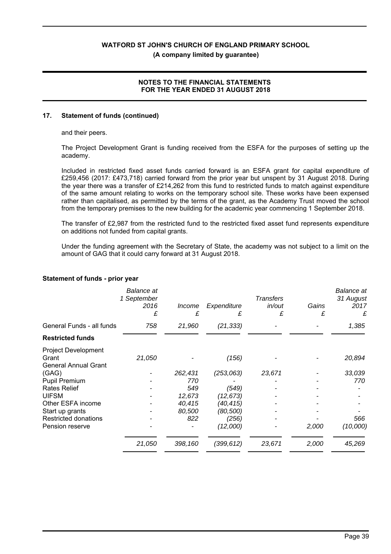**(A company limited by guarantee)**

# **NOTES TO THE FINANCIAL STATEMENTS FOR THE YEAR ENDED 31 AUGUST 2018**

# **17. Statement of funds (continued)**

and their peers.

The Project Development Grant is funding received from the ESFA for the purposes of setting up the academy.

Included in restricted fixed asset funds carried forward is an ESFA grant for capital expenditure of £259,456 (2017: £473,718) carried forward from the prior year but unspent by 31 August 2018. During the year there was a transfer of £214,262 from this fund to restricted funds to match against expenditure of the same amount relating to works on the temporary school site. These works have been expensed rather than capitalised, as permitted by the terms of the grant, as the Academy Trust moved the school from the temporary premises to the new building for the academic year commencing 1 September 2018.

The transfer of £2,987 from the restricted fund to the restricted fixed asset fund represents expenditure on additions not funded from capital grants.

Under the funding agreement with the Secretary of State, the academy was not subject to a limit on the amount of GAG that it could carry forward at 31 August 2018.

|                                                                    | <b>Balance</b> at<br>1 September<br>2016<br>£ | Income<br>£ | Expenditure<br>£ | <b>Transfers</b><br>in/out<br>£ | Gains<br>£ | <b>Balance</b> at<br>31 August<br>2017<br>£ |
|--------------------------------------------------------------------|-----------------------------------------------|-------------|------------------|---------------------------------|------------|---------------------------------------------|
| General Funds - all funds                                          | 758                                           | 21,960      | (21, 333)        |                                 |            | 1,385                                       |
| <b>Restricted funds</b>                                            |                                               |             |                  |                                 |            |                                             |
| <b>Project Development</b><br>Grant<br><b>General Annual Grant</b> | 21,050                                        |             | (156)            |                                 |            | 20,894                                      |
| (GAG)                                                              |                                               | 262,431     | (253,063)        | 23,671                          |            | 33,039                                      |
| Pupil Premium                                                      |                                               | 770         |                  |                                 |            | 770                                         |
| <b>Rates Relief</b>                                                |                                               | 549         | (549)            |                                 |            |                                             |
| <b>UIFSM</b>                                                       |                                               | 12,673      | (12, 673)        |                                 |            |                                             |
| Other ESFA income                                                  |                                               | 40,415      | (40,415)         |                                 |            |                                             |
| Start up grants                                                    |                                               | 80,500      | (80,500)         |                                 |            |                                             |
| Restricted donations                                               |                                               | 822         | (256)            |                                 |            | 566                                         |
| Pension reserve                                                    |                                               |             | (12,000)         |                                 | 2,000      | (10,000)                                    |
|                                                                    | 21,050                                        | 398,160     | (399, 612)       | 23,671                          | 2,000      | 45,269                                      |

# **Statement of funds - prior year**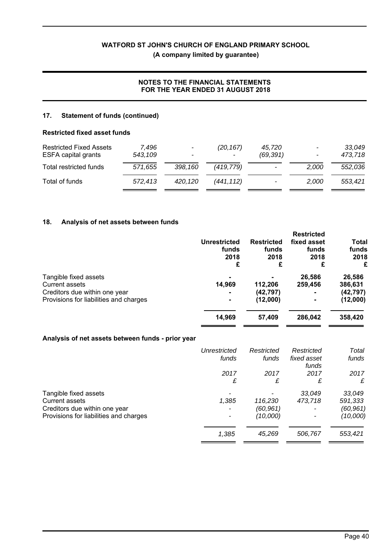# **(A company limited by guarantee)**

# **NOTES TO THE FINANCIAL STATEMENTS FOR THE YEAR ENDED 31 AUGUST 2018**

# **17. Statement of funds (continued)**

# **Restricted fixed asset funds**

| <b>Restricted Fixed Assets</b><br><b>ESFA capital grants</b> | 7.496<br>543,109 | $\sim$<br>$\overline{\phantom{a}}$ | (20, 167)<br>$\tilde{\phantom{a}}$ | 45.720<br>(69, 391) | $\overline{\phantom{a}}$<br>$\sim$ | 33,049<br>473,718 |
|--------------------------------------------------------------|------------------|------------------------------------|------------------------------------|---------------------|------------------------------------|-------------------|
| Total restricted funds                                       | 571.655          | 398.160                            | (419.779)                          | -                   | 2.000                              | 552.036           |
| Total of funds                                               | 572.413          | 420.120                            | (441.112)                          |                     | 2.000                              | 553.421           |

# **18. Analysis of net assets between funds**

|                                         | <b>Unrestricted</b><br>funds<br>2018<br>£ | <b>Restricted</b><br>funds<br>2018<br>£ | <b>Restricted</b><br>fixed asset<br>funds<br>2018<br>£ | Total<br>funds<br>2018<br>£ |
|-----------------------------------------|-------------------------------------------|-----------------------------------------|--------------------------------------------------------|-----------------------------|
| Tangible fixed assets<br>Current assets | 14,969                                    |                                         | 26,586                                                 | 26,586                      |
| Creditors due within one year           | $\blacksquare$                            | 112,206<br>(42, 797)                    | 259,456<br>۰                                           | 386,631<br>(42, 797)        |
| Provisions for liabilities and charges  | $\blacksquare$                            | (12,000)                                | $\blacksquare$                                         | (12,000)                    |
|                                         | 14,969                                    | 57,409                                  | 286,042                                                | 358,420                     |

# **Analysis of net assets between funds - prior year**

|                                        | Unrestricted | Restricted | Restricted           | Total     |
|----------------------------------------|--------------|------------|----------------------|-----------|
|                                        | funds        | funds      | fixed asset<br>funds | funds     |
|                                        | 2017         | 2017       | 2017                 | 2017      |
|                                        | £            | £          | £                    | £         |
| Tangible fixed assets                  |              |            | 33,049               | 33,049    |
| Current assets                         | 1,385        | 116,230    | 473.718              | 591,333   |
| Creditors due within one year          |              | (60,961)   |                      | (60, 961) |
| Provisions for liabilities and charges | ۰            | (10,000)   |                      | (10,000)  |
|                                        | 1,385        | 45,269     | 506,767              | 553,421   |
|                                        |              |            |                      |           |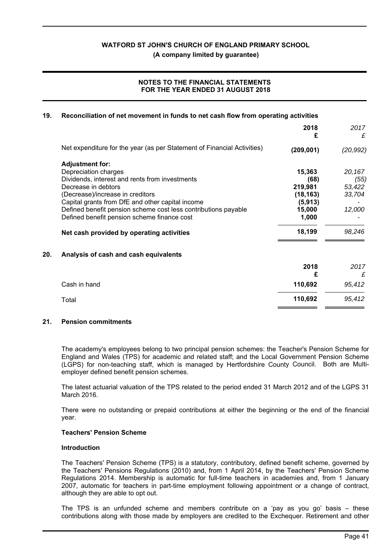**(A company limited by guarantee)**

# **NOTES TO THE FINANCIAL STATEMENTS FOR THE YEAR ENDED 31 AUGUST 2018**

|            |                                                                         | 19.                                                                                |
|------------|-------------------------------------------------------------------------|------------------------------------------------------------------------------------|
| 2018<br>£  |                                                                         |                                                                                    |
| (209, 001) | Net expenditure for the year (as per Statement of Financial Activities) |                                                                                    |
|            | <b>Adjustment for:</b>                                                  |                                                                                    |
| 15,363     | Depreciation charges                                                    |                                                                                    |
| (68)       | Dividends, interest and rents from investments                          |                                                                                    |
| 219,981    | Decrease in debtors                                                     |                                                                                    |
| (18, 163)  | (Decrease)/increase in creditors                                        |                                                                                    |
| (5, 913)   | Capital grants from DfE and other capital income                        |                                                                                    |
| 15,000     | Defined benefit pension scheme cost less contributions payable          |                                                                                    |
| 1,000      | Defined benefit pension scheme finance cost                             |                                                                                    |
| 18,199     | Net cash provided by operating activities                               |                                                                                    |
|            | Analysis of cash and cash equivalents                                   | 20.                                                                                |
| 2018       |                                                                         |                                                                                    |
| £          |                                                                         |                                                                                    |
| 110,692    | Cash in hand                                                            |                                                                                    |
| 110,692    | Total                                                                   |                                                                                    |
|            |                                                                         | Reconciliation of net movement in funds to net cash flow from operating activities |

# **21. Pension commitments**

The academy's employees belong to two principal pension schemes: the Teacher's Pension Scheme for England and Wales (TPS) for academic and related staff; and the Local Government Pension Scheme (LGPS) for non-teaching staff, which is managed by Hertfordshire County Council. Both are Multiemployer defined benefit pension schemes.

The latest actuarial valuation of the TPS related to the period ended 31 March 2012 and of the LGPS 31 March 2016.

There were no outstanding or prepaid contributions at either the beginning or the end of the financial year.

#### **Teachers' Pension Scheme**

#### **Introduction**

The Teachers' Pension Scheme (TPS) is a statutory, contributory, defined benefit scheme, governed by the Teachers' Pensions Regulations (2010) and, from 1 April 2014, by the Teachers' Pension Scheme Regulations 2014. Membership is automatic for full-time teachers in academies and, from 1 January 2007, automatic for teachers in part-time employment following appointment or a change of contract, although they are able to opt out.

The TPS is an unfunded scheme and members contribute on a 'pay as you go' basis – these contributions along with those made by employers are credited to the Exchequer. Retirement and other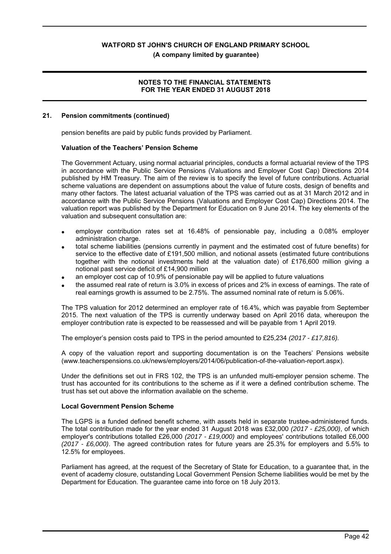**(A company limited by guarantee)**

# **NOTES TO THE FINANCIAL STATEMENTS FOR THE YEAR ENDED 31 AUGUST 2018**

#### **21. Pension commitments (continued)**

pension benefits are paid by public funds provided by Parliament.

#### **Valuation of the Teachers' Pension Scheme**

The Government Actuary, using normal actuarial principles, conducts a formal actuarial review of the TPS in accordance with the Public Service Pensions (Valuations and Employer Cost Cap) Directions 2014 published by HM Treasury. The aim of the review is to specify the level of future contributions. Actuarial scheme valuations are dependent on assumptions about the value of future costs, design of benefits and many other factors. The latest actuarial valuation of the TPS was carried out as at 31 March 2012 and in accordance with the Public Service Pensions (Valuations and Employer Cost Cap) Directions 2014. The valuation report was published by the Department for Education on 9 June 2014. The key elements of the valuation and subsequent consultation are:

- employer contribution rates set at 16.48% of pensionable pay, including a 0.08% employer administration charge.
- total scheme liabilities (pensions currently in payment and the estimated cost of future benefits) for service to the effective date of £191,500 million, and notional assets (estimated future contributions together with the notional investments held at the valuation date) of £176,600 million giving a notional past service deficit of £14,900 million
- an employer cost cap of 10.9% of pensionable pay will be applied to future valuations
- the assumed real rate of return is 3.0% in excess of prices and 2% in excess of earnings. The rate of real earnings growth is assumed to be 2.75%. The assumed nominal rate of return is 5.06%.

The TPS valuation for 2012 determined an employer rate of 16.4%, which was payable from September 2015. The next valuation of the TPS is currently underway based on April 2016 data, whereupon the employer contribution rate is expected to be reassessed and will be payable from 1 April 2019.

The employer's pension costs paid to TPS in the period amounted to £25,234 *(2017 - £17,816).*

A copy of the valuation report and supporting documentation is on the Teachers' Pensions website (www.teacherspensions.co.uk/news/employers/2014/06/publication-of-the-valuation-report.aspx).

Under the definitions set out in FRS 102, the TPS is an unfunded multi-employer pension scheme. The trust has accounted for its contributions to the scheme as if it were a defined contribution scheme. The trust has set out above the information available on the scheme.

#### **Local Government Pension Scheme**

The LGPS is a funded defined benefit scheme, with assets held in separate trustee-administered funds. The total contribution made for the year ended 31 August 2018 was £32,000 *(2017 - £25,000)*, of which employer's contributions totalled £26,000 *(2017 - £19,000)* and employees' contributions totalled £6,000 *(2017 - £6,000)*. The agreed contribution rates for future years are 25.3% for employers and 5.5% to 12.5% for employees.

Parliament has agreed, at the request of the Secretary of State for Education, to a guarantee that, in the event of academy closure, outstanding Local Government Pension Scheme liabilities would be met by the Department for Education. The guarantee came into force on 18 July 2013.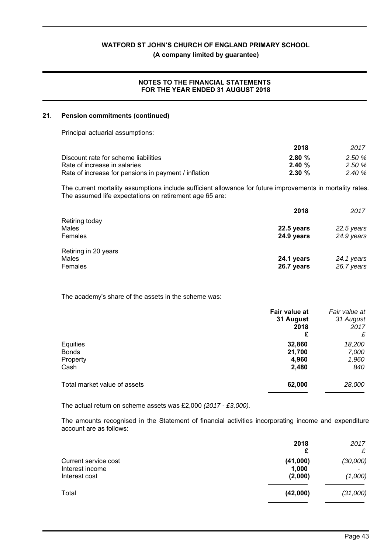**(A company limited by guarantee)**

# **NOTES TO THE FINANCIAL STATEMENTS FOR THE YEAR ENDED 31 AUGUST 2018**

#### **21. Pension commitments (continued)**

Principal actuarial assumptions:

|                                                      | 2018      | 2017  |
|------------------------------------------------------|-----------|-------|
| Discount rate for scheme liabilities                 | 2.80%     | 2.50% |
| Rate of increase in salaries                         | $2.40 \%$ | 2.50% |
| Rate of increase for pensions in payment / inflation | $2.30 \%$ | 2.40% |

The current mortality assumptions include sufficient allowance for future improvements in mortality rates. The assumed life expectations on retirement age 65 are:

|                      | 2018       | 2017       |
|----------------------|------------|------------|
| Retiring today       |            |            |
| Males                | 22.5 years | 22.5 years |
| Females              | 24.9 years | 24.9 years |
| Retiring in 20 years |            |            |
| Males                | 24.1 years | 24.1 years |
| Females              | 26.7 years | 26.7 years |

The academy's share of the assets in the scheme was:

|                              | Fair value at     | Fair value at     |
|------------------------------|-------------------|-------------------|
|                              | 31 August<br>2018 | 31 August<br>2017 |
|                              | £                 | £                 |
| Equities                     | 32,860            | 18,200            |
| <b>Bonds</b>                 | 21,700            | 7,000             |
| Property                     | 4,960             | 1,960             |
| Cash                         | 2,480             | 840               |
| Total market value of assets | 62,000            | 28,000            |

The actual return on scheme assets was £2,000 *(2017 - £3,000).*

The amounts recognised in the Statement of financial activities incorporating income and expenditure account are as follows:

|                                                          | 2018<br>£                    | 2017<br>£           |
|----------------------------------------------------------|------------------------------|---------------------|
| Current service cost<br>Interest income<br>Interest cost | (41,000)<br>1,000<br>(2,000) | (30,000)<br>(1,000) |
| Total                                                    | (42,000)                     | (31,000)            |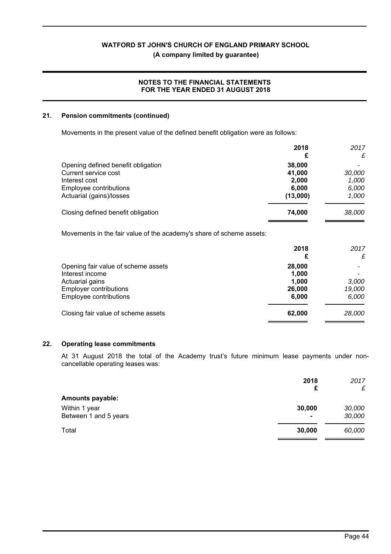**(A company limited by guarantee)**

# **NOTES TO THE FINANCIAL STATEMENTS FOR THE YEAR ENDED 31 AUGUST 2018**

#### **21. Pension commitments (continued)**

Movements in the present value of the defined benefit obligation were as follows:

|                                                                      | 2018<br>£ | 2017<br>£ |
|----------------------------------------------------------------------|-----------|-----------|
| Opening defined benefit obligation                                   | 38,000    |           |
| Current service cost                                                 | 41,000    | 30,000    |
| Interest cost                                                        | 2,000     | 1,000     |
| Employee contributions                                               | 6,000     | 6,000     |
| Actuarial (gains)/losses                                             | (13,000)  | 1,000     |
| Closing defined benefit obligation                                   | 74,000    | 38,000    |
| Movements in the fair value of the academy's share of scheme assets: |           |           |
|                                                                      | 2018      | 2017      |
|                                                                      | £         | £         |
| Opening fair value of scheme assets                                  | 28,000    |           |
| Interest income                                                      | 1,000     |           |
| Actuarial gains                                                      | 1,000     | 3,000     |
| <b>Employer contributions</b>                                        | 26,000    | 19,000    |
| Employee contributions                                               | 6,000     | 6,000     |
| Closing fair value of scheme assets                                  | 62,000    | 28,000    |

#### **22. Operating lease commitments**

At 31 August 2018 the total of the Academy trust's future minimum lease payments under noncancellable operating leases was:

|                                        | 2018<br>£                | 2017<br>£        |
|----------------------------------------|--------------------------|------------------|
| <b>Amounts payable:</b>                |                          |                  |
| Within 1 year<br>Between 1 and 5 years | 30,000<br>$\blacksquare$ | 30,000<br>30,000 |
| Total                                  | 30,000                   | 60,000           |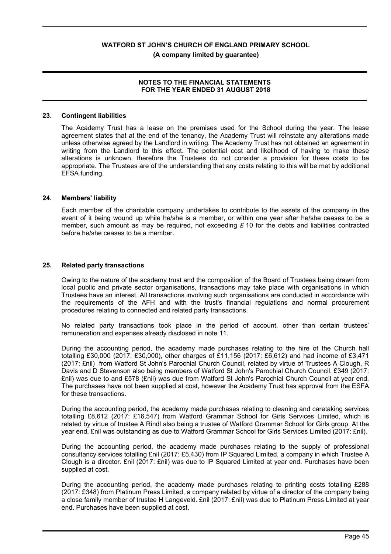# **NOTES TO THE FINANCIAL STATEMENTS FOR THE YEAR ENDED 31 AUGUST 2018**

#### **23. Contingent liabilities**

The Academy Trust has a lease on the premises used for the School during the year. The lease agreement states that at the end of the tenancy, the Academy Trust will reinstate any alterations made unless otherwise agreed by the Landlord in writing. The Academy Trust has not obtained an agreement in writing from the Landlord to this effect. The potential cost and likelihood of having to make these alterations is unknown, therefore the Trustees do not consider a provision for these costs to be appropriate. The Trustees are of the understanding that any costs relating to this will be met by additional EFSA funding.

#### **24. Members' liability**

Each member of the charitable company undertakes to contribute to the assets of the company in the event of it being wound up while he/she is a member, or within one year after he/she ceases to be a member, such amount as may be required, not exceeding  $\pounds$  10 for the debts and liabilities contracted before he/she ceases to be a member.

# **25. Related party transactions**

Owing to the nature of the academy trust and the composition of the Board of Trustees being drawn from local public and private sector organisations, transactions may take place with organisations in which Trustees have an interest. All transactions involving such organisations are conducted in accordance with the requirements of the AFH and with the trust's financial regulations and normal procurement procedures relating to connected and related party transactions.

No related party transactions took place in the period of account, other than certain trustees' remuneration and expenses already disclosed in note 11.

During the accounting period, the academy made purchases relating to the hire of the Church hall totalling £30,000 (2017: £30,000), other charges of £11,156 (2017: £6,612) and had income of £3,471 (2017: £nil) from Watford St John's Parochial Church Council, related by virtue of Trustees A Clough, R Davis and D Stevenson also being members of Watford St John's Parochial Church Council. £349 (2017: £nil) was due to and £578 (£nil) was due from Watford St John's Parochial Church Council at year end. The purchases have not been supplied at cost, however the Academy Trust has approval from the ESFA for these transactions.

During the accounting period, the academy made purchases relating to cleaning and caretaking services totalling £8,612 (2017: £16,547) from Watford Grammar School for Girls Services Limited, which is related by virtue of trustee A Rindl also being a trustee of Watford Grammar School for Girls group. At the year end, £nil was outstanding as due to Watford Grammar School for Girls Services Limited (2017: £nil).

During the accounting period, the academy made purchases relating to the supply of professional consultancy services totalling £nil (2017: £5,430) from IP Squared Limited, a company in which Trustee A Clough is a director. £nil (2017: £nil) was due to IP Squared Limited at year end. Purchases have been supplied at cost.

During the accounting period, the academy made purchases relating to printing costs totalling £288 (2017: £348) from Platinum Press Limited, a company related by virtue of a director of the company being a close family member of trustee H Langeveld. £nil (2017: £nil) was due to Platinum Press Limited at year end. Purchases have been supplied at cost.